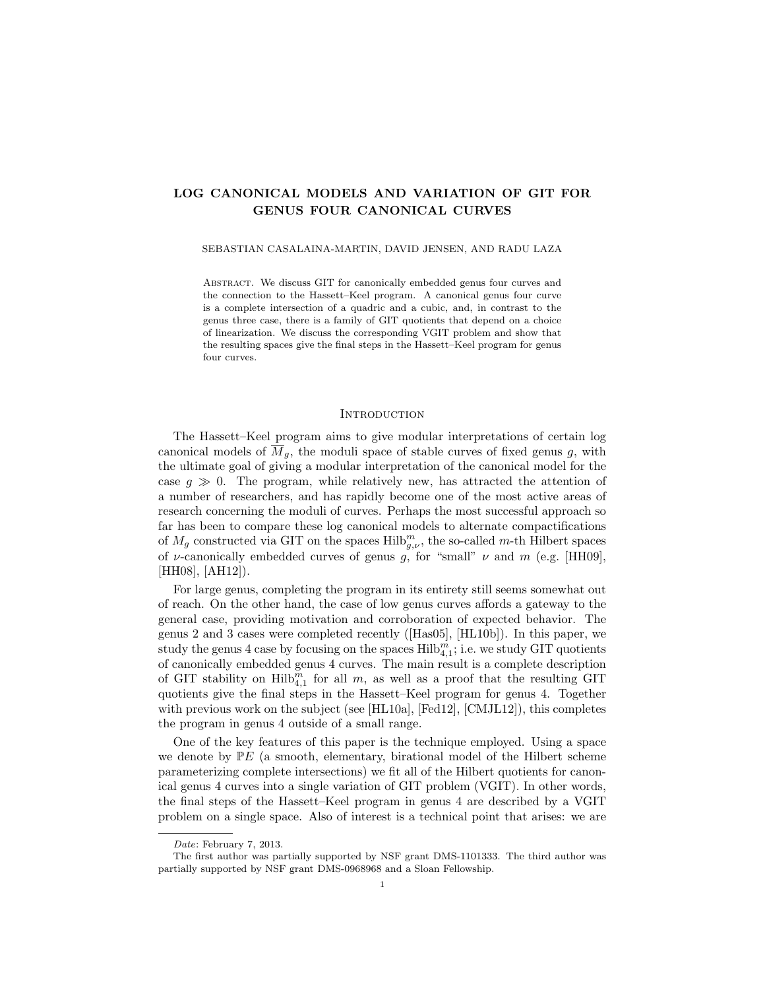# LOG CANONICAL MODELS AND VARIATION OF GIT FOR GENUS FOUR CANONICAL CURVES

### SEBASTIAN CASALAINA-MARTIN, DAVID JENSEN, AND RADU LAZA

Abstract. We discuss GIT for canonically embedded genus four curves and the connection to the Hassett–Keel program. A canonical genus four curve is a complete intersection of a quadric and a cubic, and, in contrast to the genus three case, there is a family of GIT quotients that depend on a choice of linearization. We discuss the corresponding VGIT problem and show that the resulting spaces give the final steps in the Hassett–Keel program for genus four curves.

### **INTRODUCTION**

The Hassett–Keel program aims to give modular interpretations of certain log canonical models of  $\overline{M}_q$ , the moduli space of stable curves of fixed genus g, with the ultimate goal of giving a modular interpretation of the canonical model for the case  $g \gg 0$ . The program, while relatively new, has attracted the attention of a number of researchers, and has rapidly become one of the most active areas of research concerning the moduli of curves. Perhaps the most successful approach so far has been to compare these log canonical models to alternate compactifications of  $M_g$  constructed via GIT on the spaces  $\text{Hilb}_{g,\nu}^m$ , the so-called m-th Hilbert spaces of *ν*-canonically embedded curves of genus g, for "small"  $\nu$  and  $m$  (e.g. [HH09], [HH08], [AH12]).

For large genus, completing the program in its entirety still seems somewhat out of reach. On the other hand, the case of low genus curves affords a gateway to the general case, providing motivation and corroboration of expected behavior. The genus 2 and 3 cases were completed recently ([Has05], [HL10b]). In this paper, we study the genus 4 case by focusing on the spaces  $\mathrm{Hilb}_{4,1}^m$ ; i.e. we study GIT quotients of canonically embedded genus 4 curves. The main result is a complete description of GIT stability on  $\text{Hilb}_{4,1}^m$  for all m, as well as a proof that the resulting GIT quotients give the final steps in the Hassett–Keel program for genus 4. Together with previous work on the subject (see [HL10a], [Fed12], [CMJL12]), this completes the program in genus 4 outside of a small range.

One of the key features of this paper is the technique employed. Using a space we denote by  $\mathbb{P}E$  (a smooth, elementary, birational model of the Hilbert scheme parameterizing complete intersections) we fit all of the Hilbert quotients for canonical genus 4 curves into a single variation of GIT problem (VGIT). In other words, the final steps of the Hassett–Keel program in genus 4 are described by a VGIT problem on a single space. Also of interest is a technical point that arises: we are

Date: February 7, 2013.

The first author was partially supported by NSF grant DMS-1101333. The third author was partially supported by NSF grant DMS-0968968 and a Sloan Fellowship.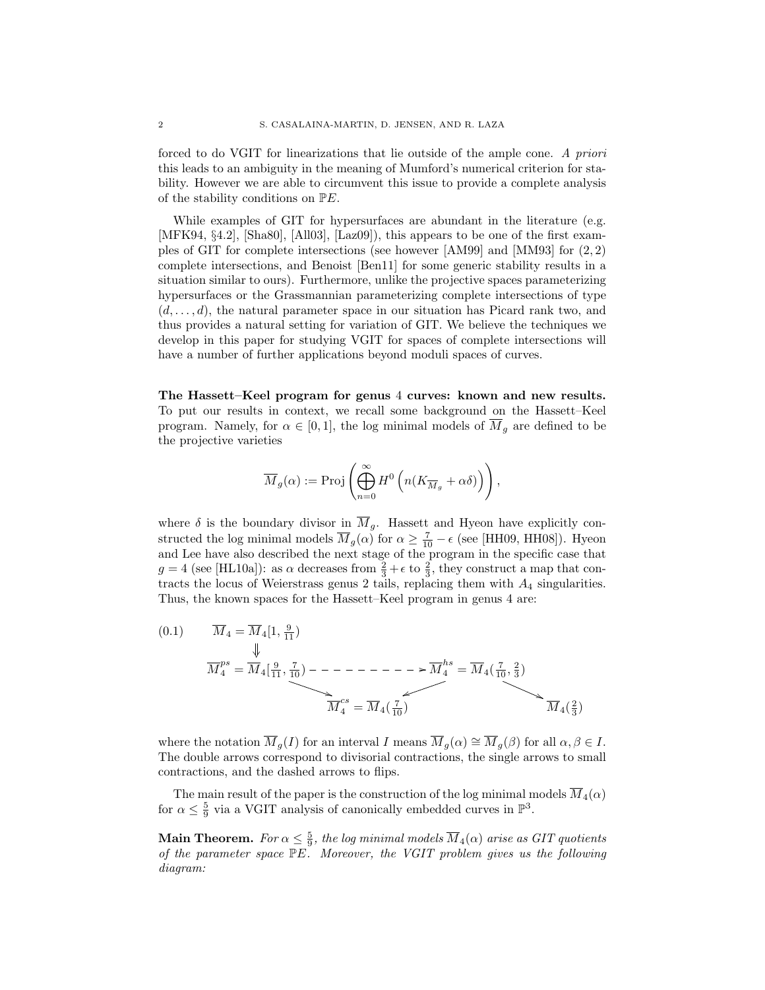forced to do VGIT for linearizations that lie outside of the ample cone. A priori this leads to an ambiguity in the meaning of Mumford's numerical criterion for stability. However we are able to circumvent this issue to provide a complete analysis of the stability conditions on PE.

While examples of GIT for hypersurfaces are abundant in the literature (e.g. [MFK94, §4.2], [Sha80], [All03], [Laz09]), this appears to be one of the first examples of GIT for complete intersections (see however [AM99] and [MM93] for  $(2, 2)$ complete intersections, and Benoist [Ben11] for some generic stability results in a situation similar to ours). Furthermore, unlike the projective spaces parameterizing hypersurfaces or the Grassmannian parameterizing complete intersections of type  $(d, \ldots, d)$ , the natural parameter space in our situation has Picard rank two, and thus provides a natural setting for variation of GIT. We believe the techniques we develop in this paper for studying VGIT for spaces of complete intersections will have a number of further applications beyond moduli spaces of curves.

The Hassett–Keel program for genus 4 curves: known and new results. To put our results in context, we recall some background on the Hassett–Keel program. Namely, for  $\alpha \in [0,1]$ , the log minimal models of  $\overline{M}_g$  are defined to be the projective varieties

$$
\overline{M}_g(\alpha) := \mathrm{Proj} \left( \bigoplus_{n=0}^\infty H^0 \left( n(K_{\overline{M}_g} + \alpha \delta) \right) \right),
$$

where  $\delta$  is the boundary divisor in  $\overline{M}_g$ . Hassett and Hyeon have explicitly constructed the log minimal models  $\overline{M}_g(\alpha)$  for  $\alpha \ge \frac{7}{10} - \epsilon$  (see [HH09, HH08]). Hyeon and Lee have also described the next stage of the program in the specific case that  $g = 4$  (see [HL10a]): as  $\alpha$  decreases from  $\frac{2}{3} + \epsilon$  to  $\frac{2}{3}$ , they construct a map that contracts the locus of Weierstrass genus 2 tails, replacing them with  $A_4$  singularities. Thus, the known spaces for the Hassett–Keel program in genus 4 are:

(0.1) M<sup>4</sup> = M4[1, 9 <sup>11</sup> ) M ps <sup>4</sup> = M4[ 9 11 , 7 <sup>10</sup> ) \* /M hs <sup>4</sup> = M4( 7 10 , 2 3 ) u ( M cs <sup>4</sup> = M4( 7 <sup>10</sup> ) M4( 2 3 )

where the notation  $\overline{M}_g(I)$  for an interval I means  $\overline{M}_g(\alpha) \cong \overline{M}_g(\beta)$  for all  $\alpha, \beta \in I$ . The double arrows correspond to divisorial contractions, the single arrows to small contractions, and the dashed arrows to flips.

The main result of the paper is the construction of the log minimal models  $\overline{M}_4(\alpha)$ for  $\alpha \leq \frac{5}{9}$  via a VGIT analysis of canonically embedded curves in  $\mathbb{P}^3$ .

**Main Theorem.** For  $\alpha \leq \frac{5}{9}$ , the log minimal models  $\overline{M}_4(\alpha)$  arise as GIT quotients of the parameter space PE. Moreover, the VGIT problem gives us the following diagram: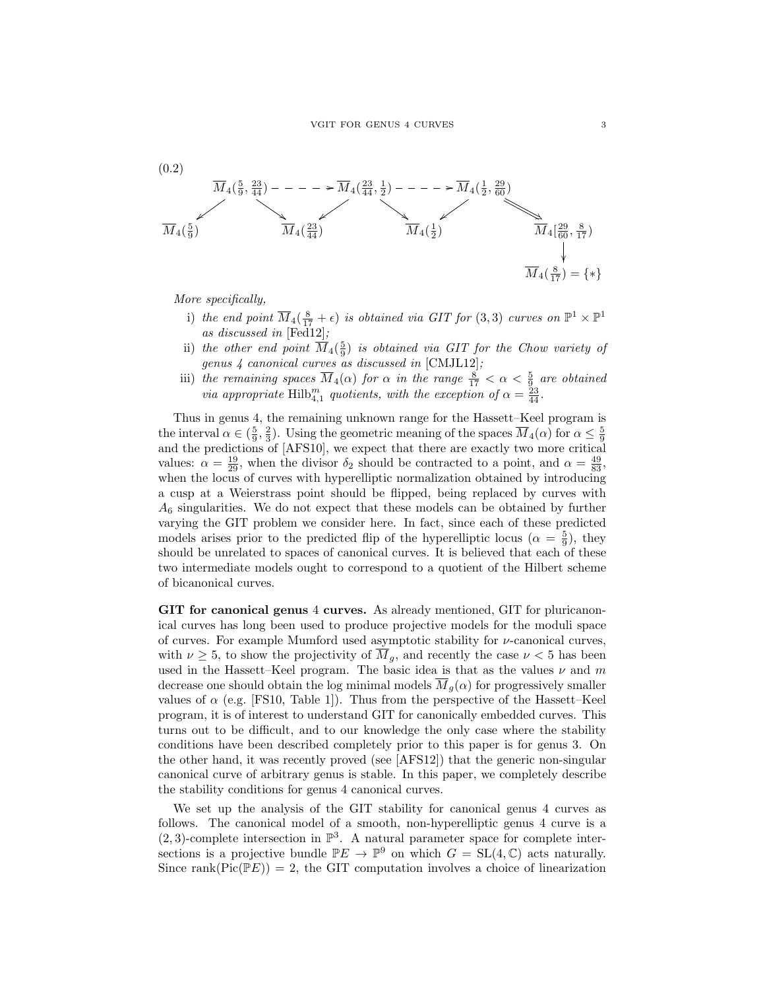

More specifically,

- i) the end point  $\overline{M}_4(\frac{8}{17} + \epsilon)$  is obtained via GIT for  $(3,3)$  curves on  $\mathbb{P}^1 \times \mathbb{P}^1$ as discussed in [Fed12];
- ii) the other end point  $\overline{M}_4(\frac{5}{9})$  is obtained via GIT for the Chow variety of genus 4 canonical curves as discussed in [CMJL12];
- iii) the remaining spaces  $\overline{M}_4(\alpha)$  for  $\alpha$  in the range  $\frac{8}{17} < \alpha < \frac{5}{9}$  are obtained via appropriate  $\text{Hilb}_{4,1}^m$  quotients, with the exception of  $\alpha = \frac{23}{44}$ .

Thus in genus 4, the remaining unknown range for the Hassett–Keel program is the interval  $\alpha \in (\frac{5}{9}, \frac{2}{3})$ . Using the geometric meaning of the spaces  $\overline{M}_4(\alpha)$  for  $\alpha \leq \frac{5}{9}$ and the predictions of [AFS10], we expect that there are exactly two more critical values:  $\alpha = \frac{19}{29}$ , when the divisor  $\delta_2$  should be contracted to a point, and  $\alpha = \frac{49}{83}$ , when the locus of curves with hyperelliptic normalization obtained by introducing a cusp at a Weierstrass point should be flipped, being replaced by curves with  $A_6$  singularities. We do not expect that these models can be obtained by further varying the GIT problem we consider here. In fact, since each of these predicted models arises prior to the predicted flip of the hyperelliptic locus ( $\alpha = \frac{5}{9}$ ), they should be unrelated to spaces of canonical curves. It is believed that each of these two intermediate models ought to correspond to a quotient of the Hilbert scheme of bicanonical curves.

GIT for canonical genus 4 curves. As already mentioned, GIT for pluricanonical curves has long been used to produce projective models for the moduli space of curves. For example Mumford used asymptotic stability for  $\nu$ -canonical curves, with  $\nu \geq 5$ , to show the projectivity of  $\overline{M}_q$ , and recently the case  $\nu < 5$  has been used in the Hassett–Keel program. The basic idea is that as the values  $\nu$  and  $m$ decrease one should obtain the log minimal models  $\overline{M}_g(\alpha)$  for progressively smaller values of  $\alpha$  (e.g. [FS10, Table 1]). Thus from the perspective of the Hassett–Keel program, it is of interest to understand GIT for canonically embedded curves. This turns out to be difficult, and to our knowledge the only case where the stability conditions have been described completely prior to this paper is for genus 3. On the other hand, it was recently proved (see [AFS12]) that the generic non-singular canonical curve of arbitrary genus is stable. In this paper, we completely describe the stability conditions for genus 4 canonical curves.

We set up the analysis of the GIT stability for canonical genus 4 curves as follows. The canonical model of a smooth, non-hyperelliptic genus 4 curve is a  $(2, 3)$ -complete intersection in  $\mathbb{P}^3$ . A natural parameter space for complete intersections is a projective bundle  $\mathbb{P}E \to \mathbb{P}^9$  on which  $G = SL(4,\mathbb{C})$  acts naturally. Since rank( $Pic(PE)$ ) = 2, the GIT computation involves a choice of linearization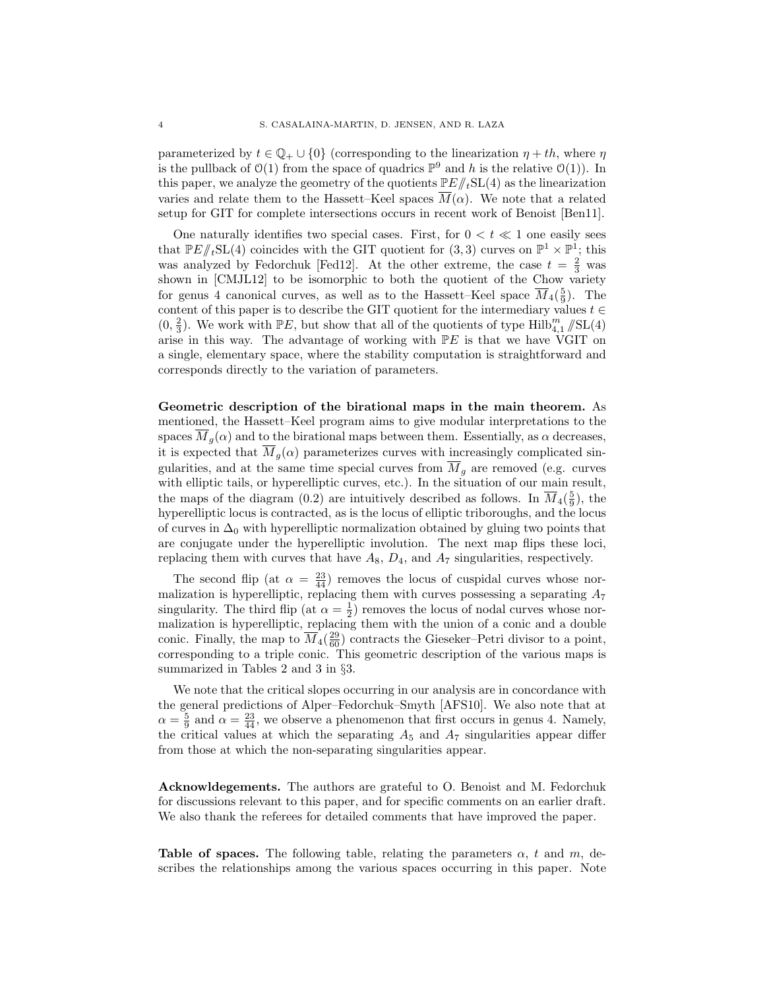parameterized by  $t \in \mathbb{Q}_+ \cup \{0\}$  (corresponding to the linearization  $\eta + th$ , where  $\eta$ is the pullback of  $\mathcal{O}(1)$  from the space of quadrics  $\mathbb{P}^9$  and h is the relative  $\mathcal{O}(1)$ ). In this paper, we analyze the geometry of the quotients  $\mathbb{P}E/\!\!/_{t}\mathsf{SL}(4)$  as the linearization varies and relate them to the Hassett–Keel spaces  $\overline{M}(\alpha)$ . We note that a related setup for GIT for complete intersections occurs in recent work of Benoist [Ben11].

One naturally identifies two special cases. First, for  $0 < t \ll 1$  one easily sees that  $\mathbb{P}E/\!\!/_{t}SL(4)$  coincides with the GIT quotient for  $(3,3)$  curves on  $\mathbb{P}^{1} \times \mathbb{P}^{1}$ ; this was analyzed by Fedorchuk [Fed12]. At the other extreme, the case  $t = \frac{2}{3}$  was shown in [CMJL12] to be isomorphic to both the quotient of the Chow variety for genus 4 canonical curves, as well as to the Hassett–Keel space  $\overline{M}_4(\frac{5}{9})$ . The content of this paper is to describe the GIT quotient for the intermediary values  $t \in$  $(0, \frac{2}{3})$ . We work with  $\mathbb{P}E$ , but show that all of the quotients of type  $\mathrm{Hilb}_{4,1}^m/\!\!/ \mathrm{SL}(4)$ arise in this way. The advantage of working with  $P E$  is that we have VGIT on a single, elementary space, where the stability computation is straightforward and corresponds directly to the variation of parameters.

Geometric description of the birational maps in the main theorem. As mentioned, the Hassett–Keel program aims to give modular interpretations to the spaces  $\overline{M}_g(\alpha)$  and to the birational maps between them. Essentially, as  $\alpha$  decreases, it is expected that  $\overline{M}_g(\alpha)$  parameterizes curves with increasingly complicated singularities, and at the same time special curves from  $\overline{M}_g$  are removed (e.g. curves with elliptic tails, or hyperelliptic curves, etc.). In the situation of our main result, the maps of the diagram (0.2) are intuitively described as follows. In  $\overline{M}_{4}(\frac{5}{9})$ , the hyperelliptic locus is contracted, as is the locus of elliptic triboroughs, and the locus of curves in  $\Delta_0$  with hyperelliptic normalization obtained by gluing two points that are conjugate under the hyperelliptic involution. The next map flips these loci, replacing them with curves that have  $A_8$ ,  $D_4$ , and  $A_7$  singularities, respectively.

The second flip (at  $\alpha = \frac{23}{44}$ ) removes the locus of cuspidal curves whose normalization is hyperelliptic, replacing them with curves possessing a separating  $A_7$ singularity. The third flip (at  $\alpha = \frac{1}{2}$ ) removes the locus of nodal curves whose normalization is hyperelliptic, replacing them with the union of a conic and a double conic. Finally, the map to  $\overline{M}_4(\frac{29}{60})$  contracts the Gieseker–Petri divisor to a point, corresponding to a triple conic. This geometric description of the various maps is summarized in Tables 2 and 3 in §3.

We note that the critical slopes occurring in our analysis are in concordance with the general predictions of Alper–Fedorchuk–Smyth [AFS10]. We also note that at  $\alpha = \frac{5}{9}$  and  $\alpha = \frac{23}{44}$ , we observe a phenomenon that first occurs in genus 4. Namely, the critical values at which the separating  $A_5$  and  $A_7$  singularities appear differ from those at which the non-separating singularities appear.

Acknowldegements. The authors are grateful to O. Benoist and M. Fedorchuk for discussions relevant to this paper, and for specific comments on an earlier draft. We also thank the referees for detailed comments that have improved the paper.

**Table of spaces.** The following table, relating the parameters  $\alpha$ , t and  $m$ , describes the relationships among the various spaces occurring in this paper. Note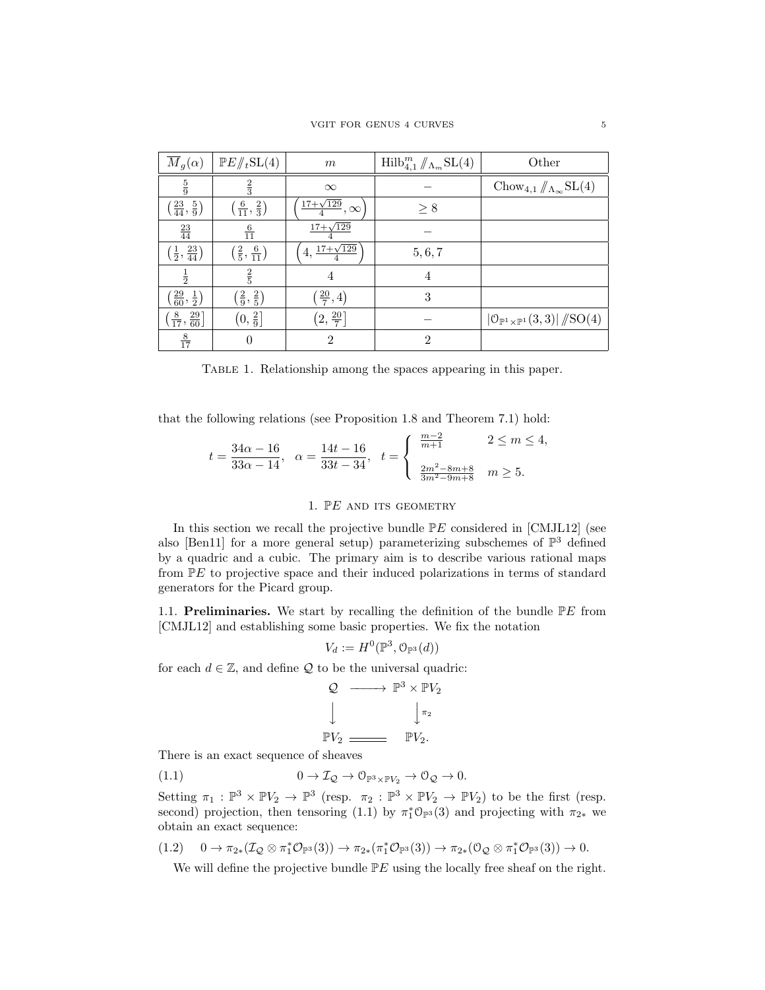| $\overline{M}_g(\alpha)$                   | $\mathbb{P}E/\!\!/_{t}\mathrm{SL}(4)$    | $\,m$                            | $\mathrm{Hilb}_{4,1}^m/\!/\Lambda_m\mathrm{SL}(4)$ | Other                                                                                   |
|--------------------------------------------|------------------------------------------|----------------------------------|----------------------------------------------------|-----------------------------------------------------------------------------------------|
| $\frac{5}{9}$                              | $\frac{2}{3}$                            | $\infty$                         |                                                    | Chow <sub>4,1</sub> $/\!\!/_{\Lambda_{\infty}}$ SL(4)                                   |
| $\left(\frac{23}{44},\frac{5}{9}\right)$   | $\left(\frac{6}{11}, \frac{2}{3}\right)$ | $\frac{17+\sqrt{129}}{4},\infty$ | $\geq 8$                                           |                                                                                         |
| $\frac{23}{44}$                            | $\frac{6}{11}$                           | $17 + \sqrt{129}$                |                                                    |                                                                                         |
| $\left(\frac{1}{2}, \frac{23}{44}\right)$  | $\left(\frac{2}{5},\frac{6}{11}\right)$  | $17 + \sqrt{129}$<br>4,          | 5, 6, 7                                            |                                                                                         |
| $\frac{1}{2}$                              | $\frac{2}{5}$                            | 4                                | $\overline{4}$                                     |                                                                                         |
| $(\frac{29}{60}, \frac{1}{2})$             | $(\frac{2}{9}, \frac{2}{5})$             | $(\frac{20}{7}, 4)$              | 3                                                  |                                                                                         |
| $\left(\frac{8}{17}, \frac{29}{60}\right]$ | $(0, \frac{2}{9})$                       | $(2,\frac{20}{7})$               |                                                    | $\left  \mathbb{O}_{\mathbb{P}^1 \times \mathbb{P}^1} (3,3) \right  /\!\!/ {\rm SO}(4)$ |
| $rac{8}{17}$                               | $\theta$                                 | $\overline{2}$                   | $\overline{2}$                                     |                                                                                         |

Table 1. Relationship among the spaces appearing in this paper.

that the following relations (see Proposition 1.8 and Theorem 7.1) hold:

$$
t = \frac{34\alpha - 16}{33\alpha - 14}, \quad \alpha = \frac{14t - 16}{33t - 34}, \quad t = \begin{cases} \frac{m-2}{m+1} & 2 \le m \le 4, \\ \frac{2m^2 - 8m + 8}{3m^2 - 9m + 8} & m \ge 5. \end{cases}
$$

## 1.  $\mathbb{P}E$  and its geometry

In this section we recall the projective bundle  $\mathbb{P}E$  considered in [CMJL12] (see also [Ben11] for a more general setup) parameterizing subschemes of  $\mathbb{P}^3$  defined by a quadric and a cubic. The primary aim is to describe various rational maps from PE to projective space and their induced polarizations in terms of standard generators for the Picard group.

1.1. **Preliminaries.** We start by recalling the definition of the bundle  $\mathbb{P}E$  from [CMJL12] and establishing some basic properties. We fix the notation

$$
V_d := H^0(\mathbb{P}^3, \mathbb{O}_{\mathbb{P}^3}(d))
$$

for each  $d \in \mathbb{Z}$ , and define  $\mathcal Q$  to be the universal quadric:

$$
Q \longrightarrow \mathbb{P}^3 \times \mathbb{P}V_2
$$
  
\n
$$
\downarrow \qquad \qquad \downarrow \pi_2
$$
  
\n
$$
\mathbb{P}V_2 \longrightarrow \mathbb{P}V_2.
$$

There is an exact sequence of sheaves

(1.1) 
$$
0 \to \mathcal{I}_{\mathcal{Q}} \to \mathcal{O}_{\mathbb{P}^3 \times \mathbb{P} V_2} \to \mathcal{O}_{\mathcal{Q}} \to 0.
$$

Setting  $\pi_1 : \mathbb{P}^3 \times \mathbb{P}V_2 \to \mathbb{P}^3$  (resp.  $\pi_2 : \mathbb{P}^3 \times \mathbb{P}V_2 \to \mathbb{P}V_2$ ) to be the first (resp. second) projection, then tensoring (1.1) by  $\pi_1^* \mathcal{O}_{\mathbb{P}^3}(3)$  and projecting with  $\pi_{2*}$  we obtain an exact sequence:

 $(1.2)$   $0 \to \pi_{2*}(\mathcal{I}_{\mathcal{Q}} \otimes \pi_1^*\mathcal{O}_{\mathbb{P}^3}(3)) \to \pi_{2*}(\pi_1^*\mathcal{O}_{\mathbb{P}^3}(3)) \to \pi_{2*}(\mathcal{O}_{\mathcal{Q}} \otimes \pi_1^*\mathcal{O}_{\mathbb{P}^3}(3)) \to 0.$ 

We will define the projective bundle  $\mathbb{P}E$  using the locally free sheaf on the right.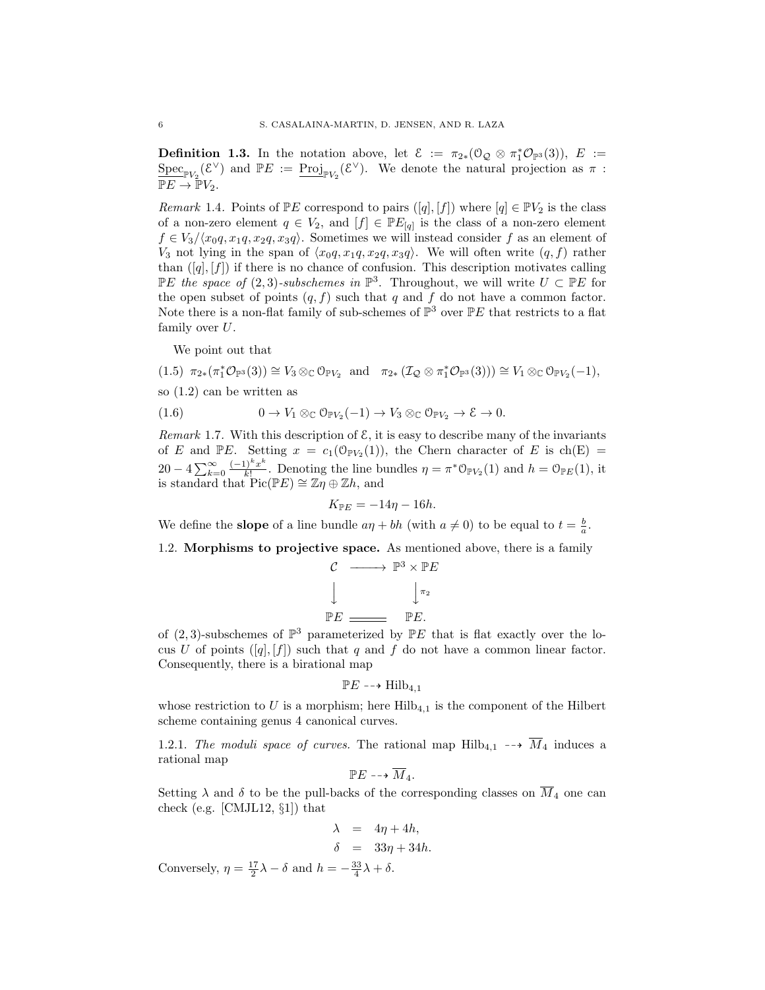**Definition 1.3.** In the notation above, let  $\mathcal{E} := \pi_{2*}(\mathbb{O}_{\mathcal{Q}} \otimes \pi_1^*\mathcal{O}_{\mathbb{P}^3}(3)), E :=$  $\underline{\text{Spec}}_{\mathbb{P} V_2}(\mathcal{E}^{\vee})$  and  $\mathbb{P} E := \underline{\text{Proj}}_{\mathbb{P} V_2}(\mathcal{E}^{\vee})$ . We denote the natural projection as  $\pi$ :  $\overline{\mathbb{P} E} \to \mathbb{P} V_2$ .

*Remark* 1.4. Points of  $\mathbb{P}E$  correspond to pairs  $([q], [f])$  where  $[q] \in \mathbb{P}V_2$  is the class of a non-zero element  $q \in V_2$ , and  $[f] \in \mathbb{P}E_{[q]}$  is the class of a non-zero element  $f \in V_3/\langle x_0q, x_1q, x_2q, x_3q\rangle$ . Sometimes we will instead consider f as an element of  $V_3$  not lying in the span of  $\langle x_0q, x_1q, x_2q, x_3q \rangle$ . We will often write  $(q, f)$  rather than  $([q], [f])$  if there is no chance of confusion. This description motivates calling  $\mathbb{P}E$  the space of (2,3)-subschemes in  $\mathbb{P}^3$ . Throughout, we will write  $U \subset \mathbb{P}E$  for the open subset of points  $(q, f)$  such that q and f do not have a common factor. Note there is a non-flat family of sub-schemes of  $\mathbb{P}^3$  over  $\mathbb{P}E$  that restricts to a flat family over  $U$ .

We point out that

 $(1.5)$   $\pi_{2*}(\pi_1^*\mathcal{O}_{\mathbb{P}^3}(3)) \cong V_3 \otimes_{\mathbb{C}} \mathcal{O}_{\mathbb{P}V_2}$  and  $\pi_{2*}(\mathcal{I}_{\mathcal{Q}} \otimes \pi_1^*\mathcal{O}_{\mathbb{P}^3}(3))) \cong V_1 \otimes_{\mathbb{C}} \mathcal{O}_{\mathbb{P}V_2}(-1)$ ,

so (1.2) can be written as

(1.6) 
$$
0 \to V_1 \otimes_{\mathbb{C}} \mathcal{O}_{\mathbb{P} V_2}(-1) \to V_3 \otimes_{\mathbb{C}} \mathcal{O}_{\mathbb{P} V_2} \to \mathcal{E} \to 0.
$$

Remark 1.7. With this description of  $\mathcal{E}$ , it is easy to describe many of the invariants of E and PE. Setting  $x = c_1(\mathbb{O}_{\mathbb{P} V_2}(1))$ , the Chern character of E is ch(E) =  $20 - 4\sum_{k=0}^{\infty} \frac{(-1)^k x^k}{k!}$  $\frac{(1)^k x^k}{k!}$ . Denoting the line bundles  $\eta = \pi^* \mathbb{O}_{\mathbb{P} V_2}(1)$  and  $h = \mathbb{O}_{\mathbb{P} E}(1)$ , it is standard that  $\operatorname{Pic}(\mathbb{P} E) \cong \mathbb{Z}\eta \oplus \mathbb{Z}h$ , and

$$
K_{\mathbb{P}E} = -14\eta - 16h.
$$

We define the **slope** of a line bundle  $a\eta + bh$  (with  $a \neq 0$ ) to be equal to  $t = \frac{b}{a}$ .

1.2. Morphisms to projective space. As mentioned above, there is a family

$$
\begin{array}{ccc}\n\mathcal{C} & \longrightarrow & \mathbb{P}^3 \times \mathbb{P}E \\
\downarrow & & \downarrow \pi_2 \\
\mathbb{P}E & \longrightarrow & \mathbb{P}E.\n\end{array}
$$

of  $(2, 3)$ -subschemes of  $\mathbb{P}^3$  parameterized by  $\mathbb{P}E$  that is flat exactly over the locus U of points  $([q], [f])$  such that q and f do not have a common linear factor. Consequently, there is a birational map

$$
\mathbb{P} E \dashrightarrow \text{Hilb}_{4,1}
$$

whose restriction to U is a morphism; here  $Hilb_{4,1}$  is the component of the Hilbert scheme containing genus 4 canonical curves.

1.2.1. The moduli space of curves. The rational map  $\text{Hilb}_{4,1} \dashrightarrow \overline{M}_4$  induces a rational map

$$
\mathbb{P} E \dashrightarrow \overline{M}_4.
$$

Setting  $\lambda$  and  $\delta$  to be the pull-backs of the corresponding classes on  $\overline{M}_4$  one can check (e.g. [CMJL12, §1]) that

$$
\lambda = 4\eta + 4h,
$$
  
\n
$$
\delta = 33\eta + 34h.
$$

Conversely,  $\eta = \frac{17}{2}\lambda - \delta$  and  $h = -\frac{33}{4}\lambda + \delta$ .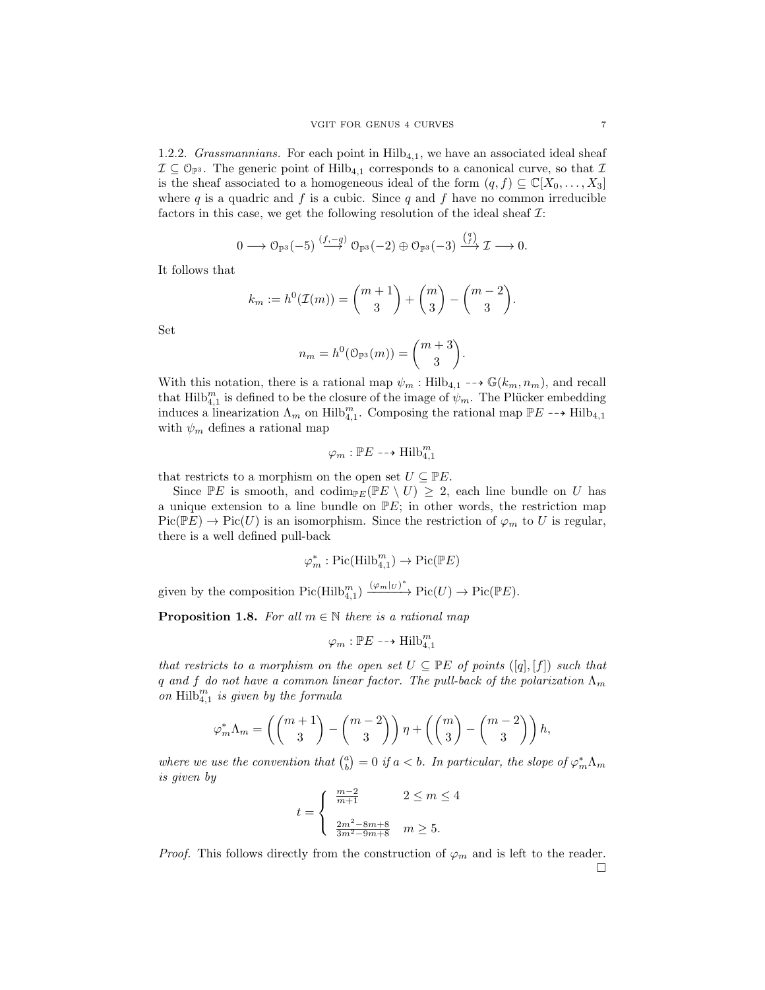1.2.2. Grassmannians. For each point in  $Hilb<sub>4,1</sub>$ , we have an associated ideal sheaf  $\mathcal{I} \subseteq \mathcal{O}_{\mathbb{P}^3}$ . The generic point of Hilb<sub>4,1</sub> corresponds to a canonical curve, so that  $\mathcal{I}$ is the sheaf associated to a homogeneous ideal of the form  $(q, f) \subseteq \mathbb{C}[X_0, \ldots, X_3]$ where  $q$  is a quadric and  $f$  is a cubic. Since  $q$  and  $f$  have no common irreducible factors in this case, we get the following resolution of the ideal sheaf  $\mathcal{I}:$ 

$$
0 \longrightarrow \mathcal{O}_{\mathbb{P}^3}(-5) \stackrel{(f,-q)}{\longrightarrow} \mathcal{O}_{\mathbb{P}^3}(-2) \oplus \mathcal{O}_{\mathbb{P}^3}(-3) \stackrel{\binom{q}{f}}{\longrightarrow} \mathcal{I} \longrightarrow 0.
$$

It follows that

$$
k_m := h^0(\mathcal{I}(m)) = {m+1 \choose 3} + {m \choose 3} - {m-2 \choose 3}.
$$

Set

$$
n_m = h^0(\mathbb{O}_{\mathbb{P}^3}(m)) = \binom{m+3}{3}.
$$

With this notation, there is a rational map  $\psi_m$ : Hilb<sub>4,1</sub> -->  $\mathbb{G}(k_m, n_m)$ , and recall that  $\text{Hilb}_{4,1}^m$  is defined to be the closure of the image of  $\psi_m$ . The Plücker embedding induces a linearization  $\Lambda_m$  on Hilb<sub>4,1</sub>. Composing the rational map  $\mathbb{P}E \dashrightarrow$  Hilb<sub>4,1</sub> with  $\psi_m$  defines a rational map

$$
\varphi_m : \mathbb{P} E \dashrightarrow \text{Hilb}_{4,1}^m
$$

that restricts to a morphism on the open set  $U \subseteq \mathbb{P}E$ .

Since  $\mathbb{P}E$  is smooth, and codim<sub>PE</sub>( $\mathbb{P}E \setminus U$ ) > 2, each line bundle on U has a unique extension to a line bundle on  $\mathbb{P}E$ ; in other words, the restriction map  $Pic(PE) \to Pic(U)$  is an isomorphism. Since the restriction of  $\varphi_m$  to U is regular, there is a well defined pull-back

$$
\varphi_m^* : \mathrm{Pic}(\mathrm{Hilb}_{4,1}^m) \to \mathrm{Pic}(\mathbb{P} E)
$$

given by the composition  $Pic(Hilb_{4,1}^m) \xrightarrow{(\varphi_m|_{U})^*} Pic(U) \to Pic(\mathbb{P}E)$ .

**Proposition 1.8.** For all  $m \in \mathbb{N}$  there is a rational map

$$
\varphi_m : \mathbb{P}E \dashrightarrow \text{Hilb}_{4,1}^m
$$

that restricts to a morphism on the open set  $U \subseteq \mathbb{P}E$  of points  $([q], [f])$  such that q and f do not have a common linear factor. The pull-back of the polarization  $\Lambda_m$ on  $\text{Hilb}_{4,1}^m$  is given by the formula

$$
\varphi_m^* \Lambda_m = \left( \binom{m+1}{3} - \binom{m-2}{3} \right) \eta + \left( \binom{m}{3} - \binom{m-2}{3} \right) h,
$$

where we use the convention that  $\binom{a}{b} = 0$  if  $a < b$ . In particular, the slope of  $\varphi_m^* \Lambda_m$ is given by

$$
t = \begin{cases} \frac{m-2}{m+1} & 2 \le m \le 4\\ \frac{2m^2 - 8m + 8}{3m^2 - 9m + 8} & m \ge 5. \end{cases}
$$

*Proof.* This follows directly from the construction of  $\varphi_m$  and is left to the reader.  $\Box$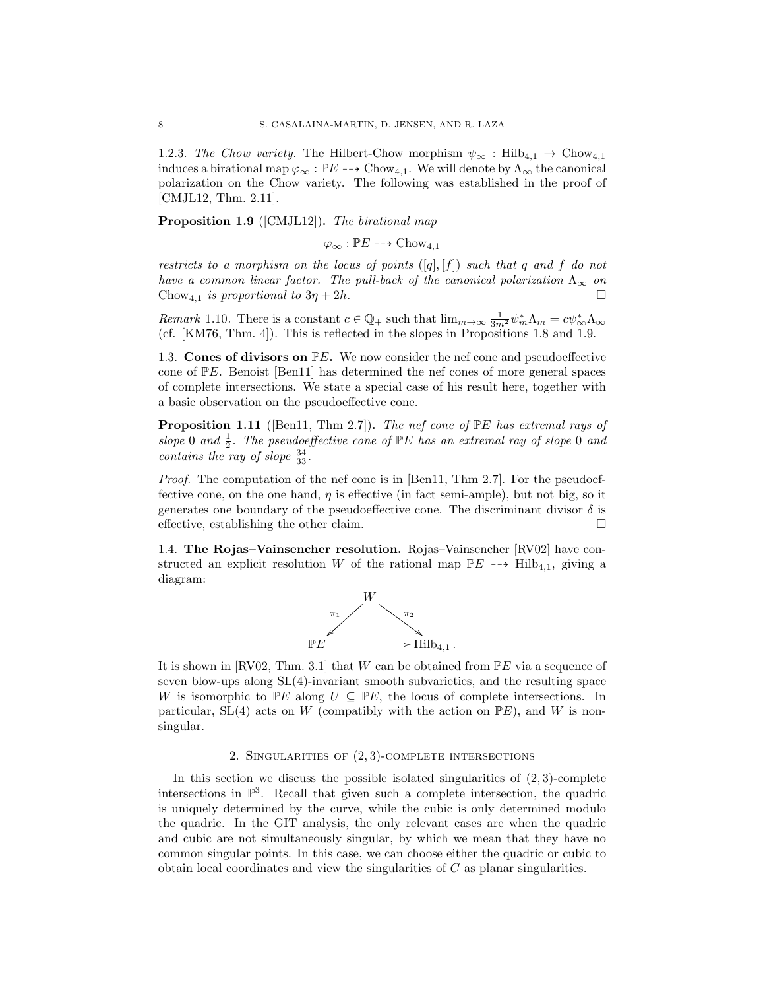1.2.3. The Chow variety. The Hilbert-Chow morphism  $\psi_{\infty}$ : Hilb<sub>4.1</sub>  $\rightarrow$  Chow<sub>4.1</sub> induces a birational map  $\varphi_{\infty} : \mathbb{P}E \dashrightarrow \text{Chow}_{4,1}$ . We will denote by  $\Lambda_{\infty}$  the canonical polarization on the Chow variety. The following was established in the proof of [CMJL12, Thm. 2.11].

Proposition 1.9 ([CMJL12]). The birational map

 $\varphi_{\infty} : \mathbb{P}E \dashrightarrow \text{Chow}_{4,1}$ 

restricts to a morphism on the locus of points  $([q], [f])$  such that q and f do not have a common linear factor. The pull-back of the canonical polarization  $\Lambda_{\infty}$  on Chow<sub>4,1</sub> is proportional to  $3\eta + 2h$ .

Remark 1.10. There is a constant  $c \in \mathbb{Q}_+$  such that  $\lim_{m\to\infty} \frac{1}{3m^2} \psi_m^* \Lambda_m = c \psi_\infty^* \Lambda_\infty$ (cf. [KM76, Thm. 4]). This is reflected in the slopes in Propositions 1.8 and 1.9.

1.3. Cones of divisors on  $\mathbb{P}E$ . We now consider the nef cone and pseudoeffective cone of  $\mathbb{P}E$ . Benoist [Ben11] has determined the nef cones of more general spaces of complete intersections. We state a special case of his result here, together with a basic observation on the pseudoeffective cone.

**Proposition 1.11** ([Ben11, Thm 2.7]). The nef cone of  $\mathbb{P}E$  has extremal rays of slope 0 and  $\frac{1}{2}$ . The pseudoeffective cone of PE has an extremal ray of slope 0 and contains the ray of slope  $\frac{34}{33}$ .

Proof. The computation of the nef cone is in [Ben11, Thm 2.7]. For the pseudoeffective cone, on the one hand,  $\eta$  is effective (in fact semi-ample), but not big, so it generates one boundary of the pseudoeffective cone. The discriminant divisor  $\delta$  is effective, establishing the other claim.

1.4. The Rojas–Vainsencher resolution. Rojas–Vainsencher [RV02] have constructed an explicit resolution W of the rational map  $\mathbb{P}E \dashrightarrow \text{Hilb}_{4,1}$ , giving a diagram:



It is shown in [RV02, Thm. 3.1] that W can be obtained from  $\mathbb{P}E$  via a sequence of seven blow-ups along SL(4)-invariant smooth subvarieties, and the resulting space W is isomorphic to  $\mathbb{P}E$  along  $U \subseteq \mathbb{P}E$ , the locus of complete intersections. In particular, SL(4) acts on W (compatibly with the action on  $\mathbb{P}E$ ), and W is nonsingular.

# 2. SINGULARITIES OF  $(2, 3)$ -COMPLETE INTERSECTIONS

In this section we discuss the possible isolated singularities of  $(2, 3)$ -complete intersections in  $\mathbb{P}^3$ . Recall that given such a complete intersection, the quadric is uniquely determined by the curve, while the cubic is only determined modulo the quadric. In the GIT analysis, the only relevant cases are when the quadric and cubic are not simultaneously singular, by which we mean that they have no common singular points. In this case, we can choose either the quadric or cubic to obtain local coordinates and view the singularities of C as planar singularities.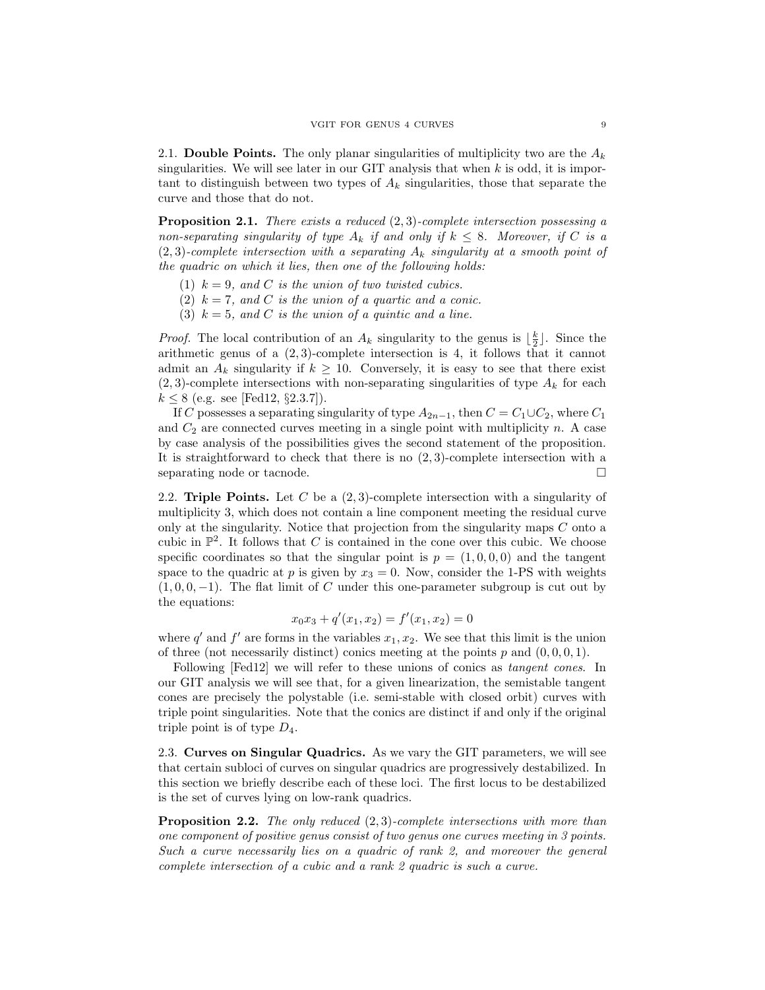2.1. Double Points. The only planar singularities of multiplicity two are the  $A_k$ singularities. We will see later in our GIT analysis that when  $k$  is odd, it is important to distinguish between two types of  $A_k$  singularities, those that separate the curve and those that do not.

**Proposition 2.1.** There exists a reduced  $(2, 3)$ -complete intersection possessing a non-separating singularity of type  $A_k$  if and only if  $k \leq 8$ . Moreover, if C is a  $(2, 3)$ -complete intersection with a separating  $A_k$  singularity at a smooth point of the quadric on which it lies, then one of the following holds:

- (1)  $k = 9$ , and C is the union of two twisted cubics.
- (2)  $k = 7$ , and C is the union of a quartic and a conic.
- (3)  $k = 5$ , and C is the union of a quintic and a line.

*Proof.* The local contribution of an  $A_k$  singularity to the genus is  $\lfloor \frac{k}{2} \rfloor$ . Since the arithmetic genus of a (2, 3)-complete intersection is 4, it follows that it cannot admit an  $A_k$  singularity if  $k \geq 10$ . Conversely, it is easy to see that there exist  $(2, 3)$ -complete intersections with non-separating singularities of type  $A_k$  for each  $k \le 8$  (e.g. see [Fed12, §2.3.7]).

If C possesses a separating singularity of type  $A_{2n-1}$ , then  $C = C_1 \cup C_2$ , where  $C_1$ and  $C_2$  are connected curves meeting in a single point with multiplicity n. A case by case analysis of the possibilities gives the second statement of the proposition. It is straightforward to check that there is no (2, 3)-complete intersection with a separating node or tacnode.

2.2. Triple Points. Let C be a  $(2,3)$ -complete intersection with a singularity of multiplicity 3, which does not contain a line component meeting the residual curve only at the singularity. Notice that projection from the singularity maps C onto a cubic in  $\mathbb{P}^2$ . It follows that C is contained in the cone over this cubic. We choose specific coordinates so that the singular point is  $p = (1, 0, 0, 0)$  and the tangent space to the quadric at p is given by  $x_3 = 0$ . Now, consider the 1-PS with weights  $(1, 0, 0, -1)$ . The flat limit of C under this one-parameter subgroup is cut out by the equations:

$$
x_0x_3 + q'(x_1, x_2) = f'(x_1, x_2) = 0
$$

where  $q'$  and  $f'$  are forms in the variables  $x_1, x_2$ . We see that this limit is the union of three (not necessarily distinct) conics meeting at the points  $p$  and  $(0, 0, 0, 1)$ .

Following [Fed12] we will refer to these unions of conics as *tangent cones*. In our GIT analysis we will see that, for a given linearization, the semistable tangent cones are precisely the polystable (i.e. semi-stable with closed orbit) curves with triple point singularities. Note that the conics are distinct if and only if the original triple point is of type  $D_4$ .

2.3. Curves on Singular Quadrics. As we vary the GIT parameters, we will see that certain subloci of curves on singular quadrics are progressively destabilized. In this section we briefly describe each of these loci. The first locus to be destabilized is the set of curves lying on low-rank quadrics.

**Proposition 2.2.** The only reduced  $(2, 3)$ -complete intersections with more than one component of positive genus consist of two genus one curves meeting in 3 points. Such a curve necessarily lies on a quadric of rank 2, and moreover the general complete intersection of a cubic and a rank 2 quadric is such a curve.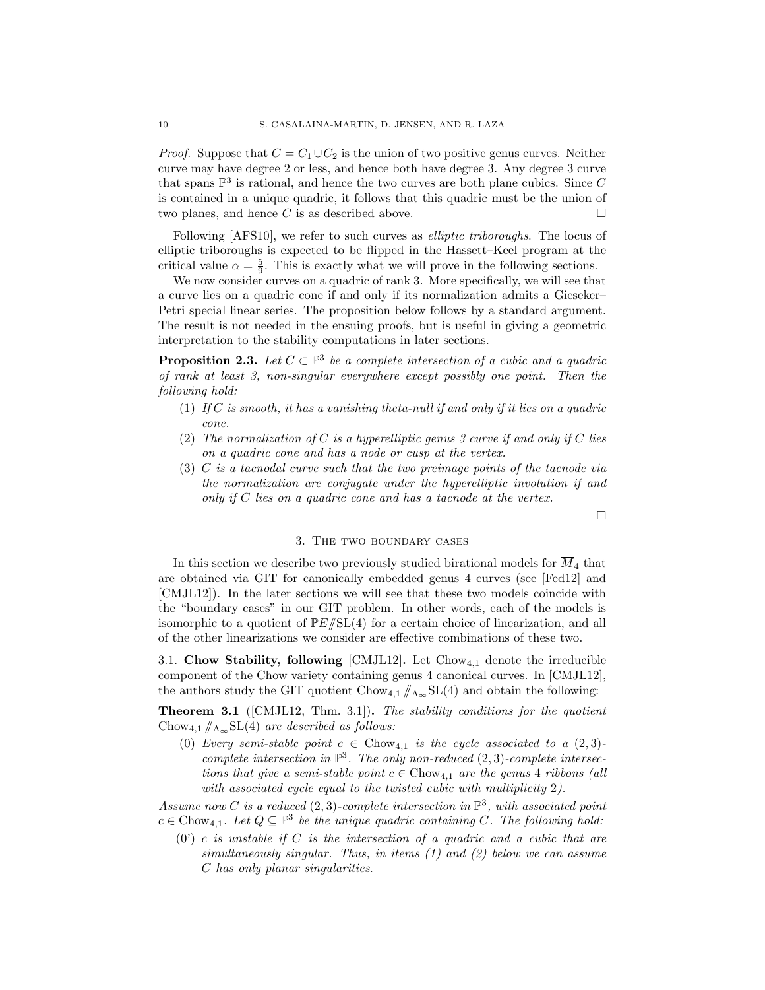*Proof.* Suppose that  $C = C_1 \cup C_2$  is the union of two positive genus curves. Neither curve may have degree 2 or less, and hence both have degree 3. Any degree 3 curve that spans  $\mathbb{P}^3$  is rational, and hence the two curves are both plane cubics. Since C is contained in a unique quadric, it follows that this quadric must be the union of two planes, and hence C is as described above.  $\square$ 

Following  $[AFS10]$ , we refer to such curves as *elliptic triboroughs*. The locus of elliptic triboroughs is expected to be flipped in the Hassett–Keel program at the critical value  $\alpha = \frac{5}{9}$ . This is exactly what we will prove in the following sections.

We now consider curves on a quadric of rank 3. More specifically, we will see that a curve lies on a quadric cone if and only if its normalization admits a Gieseker– Petri special linear series. The proposition below follows by a standard argument. The result is not needed in the ensuing proofs, but is useful in giving a geometric interpretation to the stability computations in later sections.

**Proposition 2.3.** Let  $C \subset \mathbb{P}^3$  be a complete intersection of a cubic and a quadric of rank at least 3, non-singular everywhere except possibly one point. Then the following hold:

- (1) If C is smooth, it has a vanishing theta-null if and only if it lies on a quadric cone.
- (2) The normalization of C is a hyperelliptic genus 3 curve if and only if C lies on a quadric cone and has a node or cusp at the vertex.
- (3) C is a tacnodal curve such that the two preimage points of the tacnode via the normalization are conjugate under the hyperelliptic involution if and only if C lies on a quadric cone and has a tacnode at the vertex.

 $\Box$ 

## 3. The two boundary cases

In this section we describe two previously studied birational models for  $\overline{M}_4$  that are obtained via GIT for canonically embedded genus 4 curves (see [Fed12] and [CMJL12]). In the later sections we will see that these two models coincide with the "boundary cases" in our GIT problem. In other words, each of the models is isomorphic to a quotient of  $\frac{\mathbb{P}E}{\mathbb{S}L(4)}$  for a certain choice of linearization, and all of the other linearizations we consider are effective combinations of these two.

3.1. Chow Stability, following  $\text{[CMIL12]}$ . Let Chow<sub>4.1</sub> denote the irreducible component of the Chow variety containing genus 4 canonical curves. In [CMJL12], the authors study the GIT quotient  $Chow_{4,1} / \Lambda_{\infty} SL(4)$  and obtain the following:

**Theorem 3.1** ([CMJL12, Thm. 3.1]). The stability conditions for the quotient Chow<sub>4,1</sub>  $/\!\!/_{\Lambda_{\infty}}$ SL(4) are described as follows:

(0) Every semi-stable point  $c \in Chow_{4,1}$  is the cycle associated to a  $(2,3)$ complete intersection in  $\mathbb{P}^3$ . The only non-reduced  $(2,3)$ -complete intersections that give a semi-stable point  $c \in \text{Chow}_{4,1}$  are the genus 4 ribbons (all with associated cycle equal to the twisted cubic with multiplicity 2).

Assume now C is a reduced  $(2,3)$ -complete intersection in  $\mathbb{P}^3$ , with associated point  $c \in \text{Chow}_{4,1}$ . Let  $Q \subseteq \mathbb{P}^3$  be the unique quadric containing C. The following hold:

 $(0')$  c is unstable if C is the intersection of a quadric and a cubic that are simultaneously singular. Thus, in items (1) and (2) below we can assume C has only planar singularities.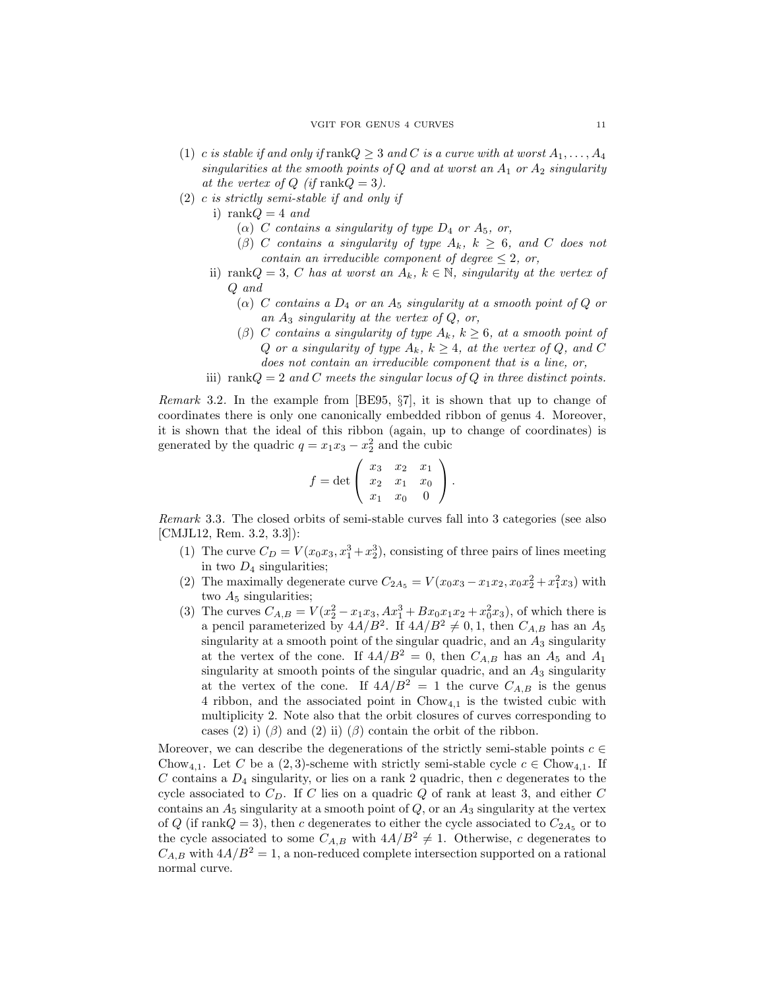- (1) c is stable if and only if rank $Q \geq 3$  and C is a curve with at worst  $A_1, \ldots, A_4$ singularities at the smooth points of  $Q$  and at worst an  $A_1$  or  $A_2$  singularity at the vertex of  $Q$  (if rank $Q = 3$ ).
- (2) c is strictly semi-stable if and only if
	- i) rank $Q = 4$  and
		- ( $\alpha$ ) C contains a singularity of type  $D_4$  or  $A_5$ , or,
		- $(\beta)$  C contains a singularity of type  $A_k$ ,  $k \geq 6$ , and C does not contain an irreducible component of degree  $\leq 2$ , or,
	- ii) rank $Q = 3$ , C has at worst an  $A_k$ ,  $k \in \mathbb{N}$ , singularity at the vertex of Q and
		- ( $\alpha$ ) C contains a  $D_4$  or an  $A_5$  singularity at a smooth point of Q or an  $A_3$  singularity at the vertex of  $Q$ , or,
		- (β) C contains a singularity of type  $A_k$ ,  $k \geq 6$ , at a smooth point of Q or a singularity of type  $A_k$ ,  $k \geq 4$ , at the vertex of Q, and C does not contain an irreducible component that is a line, or,
	- iii) rank $Q = 2$  and C meets the singular locus of Q in three distinct points.

Remark 3.2. In the example from [BE95, §7], it is shown that up to change of coordinates there is only one canonically embedded ribbon of genus 4. Moreover, it is shown that the ideal of this ribbon (again, up to change of coordinates) is generated by the quadric  $q = x_1 x_3 - x_2^2$  and the cubic

$$
f = \det \left( \begin{array}{ccc} x_3 & x_2 & x_1 \\ x_2 & x_1 & x_0 \\ x_1 & x_0 & 0 \end{array} \right).
$$

Remark 3.3. The closed orbits of semi-stable curves fall into 3 categories (see also [CMJL12, Rem. 3.2, 3.3]):

- (1) The curve  $C_D = V(x_0x_3, x_1^3 + x_2^3)$ , consisting of three pairs of lines meeting in two  $D_4$  singularities;
- (2) The maximally degenerate curve  $C_{2A_5} = V(x_0x_3 x_1x_2, x_0x_2^2 + x_1^2x_3)$  with two  $A_5$  singularities;
- (3) The curves  $C_{A,B} = V(x_2^2 x_1x_3, Ax_1^3 + Bx_0x_1x_2 + x_0^2x_3)$ , of which there is a pencil parameterized by  $4A/B^2$ . If  $4A/B^2 \neq 0, 1$ , then  $C_{A,B}$  has an  $A_5$ singularity at a smooth point of the singular quadric, and an  $A_3$  singularity at the vertex of the cone. If  $4A/B^2 = 0$ , then  $C_{A,B}$  has an  $A_5$  and  $A_1$ singularity at smooth points of the singular quadric, and an  $A_3$  singularity at the vertex of the cone. If  $4A/B^2 = 1$  the curve  $C_{A,B}$  is the genus 4 ribbon, and the associated point in  $Chow_{4,1}$  is the twisted cubic with multiplicity 2. Note also that the orbit closures of curves corresponding to cases (2) i)  $(\beta)$  and (2) ii)  $(\beta)$  contain the orbit of the ribbon.

Moreover, we can describe the degenerations of the strictly semi-stable points  $c \in$ Chow<sub>4,1</sub>. Let C be a (2,3)-scheme with strictly semi-stable cycle  $c \in Chow_{4,1}$ . If  $C$  contains a  $D_4$  singularity, or lies on a rank 2 quadric, then  $c$  degenerates to the cycle associated to  $C_D$ . If C lies on a quadric Q of rank at least 3, and either C contains an  $A_5$  singularity at a smooth point of  $Q$ , or an  $A_3$  singularity at the vertex of  $Q$  (if rank $Q = 3$ ), then c degenerates to either the cycle associated to  $C_{2A_5}$  or to the cycle associated to some  $C_{A,B}$  with  $4A/B^2 \neq 1$ . Otherwise, c degenerates to  $C_{A,B}$  with  $4A/B^2 = 1$ , a non-reduced complete intersection supported on a rational normal curve.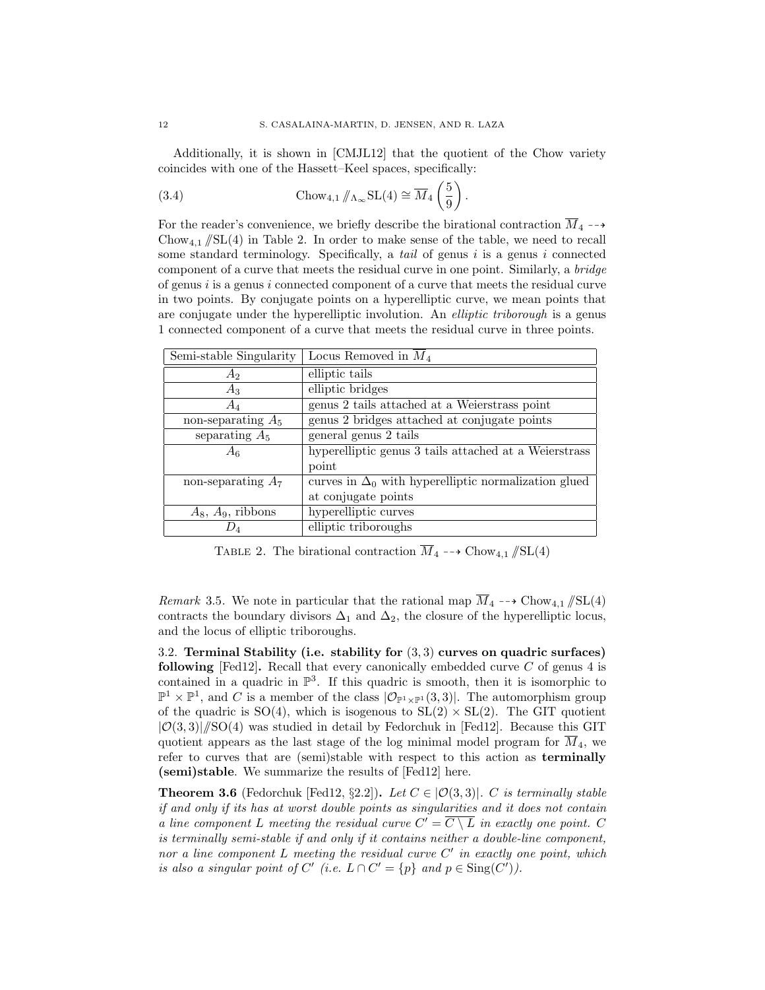Additionally, it is shown in [CMJL12] that the quotient of the Chow variety coincides with one of the Hassett–Keel spaces, specifically:

(3.4) 
$$
\text{Chow}_{4,1} / \! \! /_{\Lambda_{\infty}} \text{SL}(4) \cong \overline{M}_{4} \left( \frac{5}{9} \right).
$$

For the reader's convenience, we briefly describe the birational contraction  $\overline{M}_4 \dashrightarrow$ Chow<sub>4.1</sub>  $/\!\!/$ SL(4) in Table 2. In order to make sense of the table, we need to recall some standard terminology. Specifically, a tail of genus  $i$  is a genus  $i$  connected component of a curve that meets the residual curve in one point. Similarly, a bridge of genus  $i$  is a genus  $i$  connected component of a curve that meets the residual curve in two points. By conjugate points on a hyperelliptic curve, we mean points that are conjugate under the hyperelliptic involution. An elliptic triborough is a genus 1 connected component of a curve that meets the residual curve in three points.

| Semi-stable Singularity | Locus Removed in $M_4$                                      |
|-------------------------|-------------------------------------------------------------|
| $A_2$                   | elliptic tails                                              |
| $A_3$                   | elliptic bridges                                            |
| $A_4$                   | genus 2 tails attached at a Weierstrass point               |
| non-separating $A_5$    | genus 2 bridges attached at conjugate points                |
| separating $A_5$        | general genus 2 tails                                       |
| $A_6$                   | hyperelliptic genus 3 tails attached at a Weierstrass       |
|                         | point                                                       |
| non-separating $A_7$    | curves in $\Delta_0$ with hyperelliptic normalization glued |
|                         | at conjugate points                                         |
| $A_8$ , $A_9$ , ribbons | hyperelliptic curves                                        |
|                         | elliptic triboroughs                                        |

TABLE 2. The birational contraction  $\overline{M}_4 \dashrightarrow \text{Chow}_{4,1} / \text{SL}(4)$ 

Remark 3.5. We note in particular that the rational map  $\overline{M}_4 \dashrightarrow \text{Chow}_{4,1}/\text{SL}(4)$ contracts the boundary divisors  $\Delta_1$  and  $\Delta_2$ , the closure of the hyperelliptic locus, and the locus of elliptic triboroughs.

3.2. Terminal Stability (i.e. stability for (3, 3) curves on quadric surfaces) following [Fed12]. Recall that every canonically embedded curve  $C$  of genus 4 is contained in a quadric in  $\mathbb{P}^3$ . If this quadric is smooth, then it is isomorphic to  $\mathbb{P}^1 \times \mathbb{P}^1$ , and C is a member of the class  $|\mathcal{O}_{\mathbb{P}^1 \times \mathbb{P}^1}(3,3)|$ . The automorphism group of the quadric is  $SO(4)$ , which is isogenous to  $SL(2) \times SL(2)$ . The GIT quotient  $|O(3,3)|/SO(4)$  was studied in detail by Fedorchuk in [Fed12]. Because this GIT quotient appears as the last stage of the log minimal model program for  $\overline{M}_4$ , we refer to curves that are (semi)stable with respect to this action as terminally (semi)stable. We summarize the results of [Fed12] here.

**Theorem 3.6** (Fedorchuk [Fed12, §2.2]). Let  $C \in |O(3,3)|$ . C is terminally stable if and only if its has at worst double points as singularities and it does not contain a line component L meeting the residual curve  $C' = \overline{C \setminus L}$  in exactly one point. C is terminally semi-stable if and only if it contains neither a double-line component, nor a line component  $L$  meeting the residual curve  $C'$  in exactly one point, which is also a singular point of C' (i.e.  $L \cap C' = \{p\}$  and  $p \in Sing(C')$ ).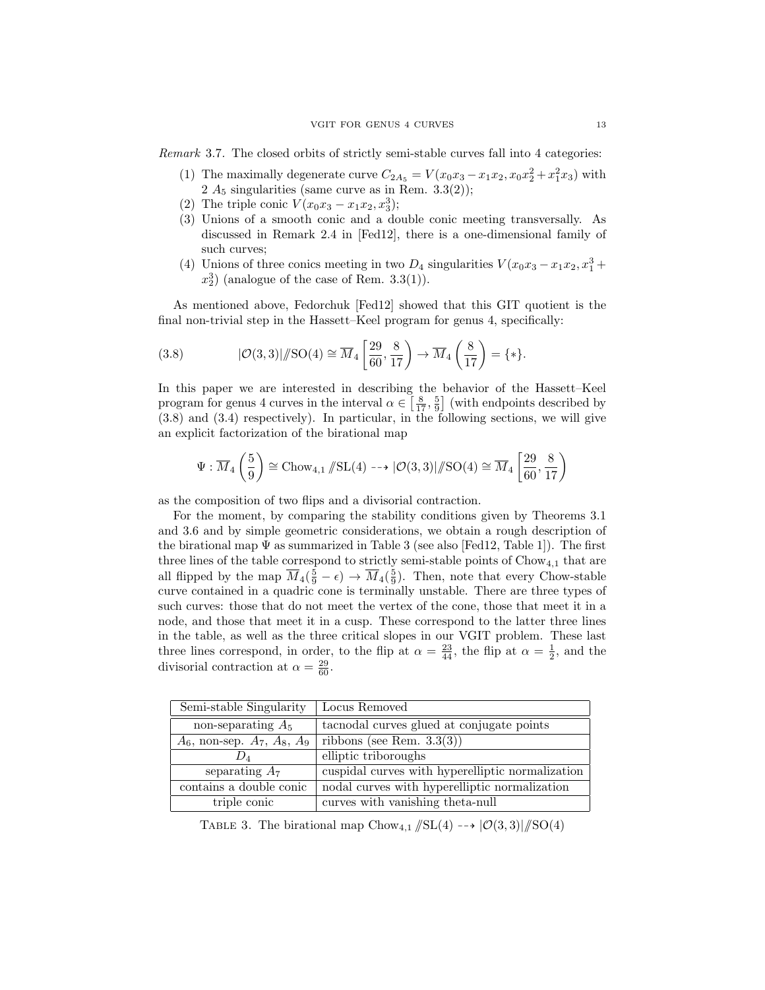Remark 3.7. The closed orbits of strictly semi-stable curves fall into 4 categories:

- (1) The maximally degenerate curve  $C_{2A_5} = V(x_0x_3 x_1x_2, x_0x_2^2 + x_1^2x_3)$  with 2  $A_5$  singularities (same curve as in Rem. 3.3(2));
- (2) The triple conic  $V(x_0x_3 x_1x_2, x_3^3);$
- (3) Unions of a smooth conic and a double conic meeting transversally. As discussed in Remark 2.4 in [Fed12], there is a one-dimensional family of such curves;
- (4) Unions of three conics meeting in two  $D_4$  singularities  $V(x_0x_3 x_1x_2, x_1^3 +$  $x_2^3$  (analogue of the case of Rem. 3.3(1)).

As mentioned above, Fedorchuk [Fed12] showed that this GIT quotient is the final non-trivial step in the Hassett–Keel program for genus 4, specifically:

(3.8) 
$$
|\mathcal{O}(3,3)|/\!|\mathrm{SO}(4) \cong \overline{M}_4 \left[\frac{29}{60}, \frac{8}{17}\right) \to \overline{M}_4 \left(\frac{8}{17}\right) = \{*\}.
$$

In this paper we are interested in describing the behavior of the Hassett–Keel program for genus 4 curves in the interval  $\alpha \in \left[\frac{8}{17}, \frac{5}{9}\right]$  (with endpoints described by (3.8) and (3.4) respectively). In particular, in the following sections, we will give an explicit factorization of the birational map

$$
\Psi: \overline{M}_4\left(\frac{5}{9}\right) \cong \text{Chow}_{4,1} \mathop{\mathop{\notimes} \text{SL}}\nolimits(4) \dashrightarrow |\mathcal{O}(3,3)| / \mathop{\text{SO}}\nolimits(4) \cong \overline{M}_4\left[\frac{29}{60}, \frac{8}{17}\right)
$$

as the composition of two flips and a divisorial contraction.

For the moment, by comparing the stability conditions given by Theorems 3.1 and 3.6 and by simple geometric considerations, we obtain a rough description of the birational map  $\Psi$  as summarized in Table 3 (see also [Fed12, Table 1]). The first three lines of the table correspond to strictly semi-stable points of  $Chow_{4,1}$  that are all flipped by the map  $\overline{M}_4(\frac{5}{9}-\epsilon) \to \overline{M}_4(\frac{5}{9})$ . Then, note that every Chow-stable curve contained in a quadric cone is terminally unstable. There are three types of such curves: those that do not meet the vertex of the cone, those that meet it in a node, and those that meet it in a cusp. These correspond to the latter three lines in the table, as well as the three critical slopes in our VGIT problem. These last three lines correspond, in order, to the flip at  $\alpha = \frac{23}{44}$ , the flip at  $\alpha = \frac{1}{2}$ , and the divisorial contraction at  $\alpha = \frac{29}{60}$ .

| Semi-stable Singularity                | Locus Removed                                    |
|----------------------------------------|--------------------------------------------------|
| non-separating $A_5$                   | tacnodal curves glued at conjugate points        |
| $A_6$ , non-sep. $A_7$ , $A_8$ , $A_9$ | ribbons (see Rem. $3.3(3)$ )                     |
| $D_{4}$                                | elliptic triboroughs                             |
| separating $A_7$                       | cuspidal curves with hyperelliptic normalization |
| contains a double conic                | nodal curves with hyperelliptic normalization    |
| triple conic                           | curves with vanishing theta-null                 |

TABLE 3. The birational map  $Chow_{4,1} / SL(4) \longrightarrow |\mathcal{O}(3, 3)| /SO(4)$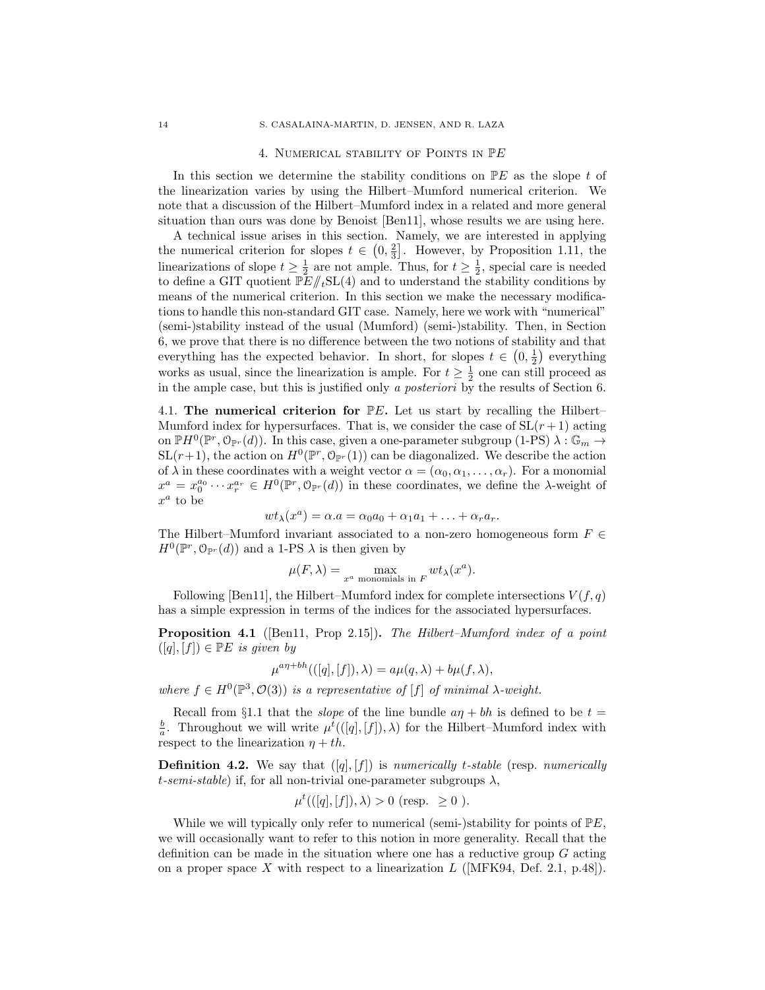### 4. NUMERICAL STABILITY OF POINTS IN PE

In this section we determine the stability conditions on  $\mathbb{P}E$  as the slope t of the linearization varies by using the Hilbert–Mumford numerical criterion. We note that a discussion of the Hilbert–Mumford index in a related and more general situation than ours was done by Benoist [Ben11], whose results we are using here.

A technical issue arises in this section. Namely, we are interested in applying the numerical criterion for slopes  $t \in (0, \frac{2}{3}]$ . However, by Proposition 1.11, the linearizations of slope  $t \geq \frac{1}{2}$  are not ample. Thus, for  $t \geq \frac{1}{2}$ , special care is needed to define a GIT quotient  $\mathbb{P}E/\!\!/_{t}\mathrm{SL}(4)$  and to understand the stability conditions by means of the numerical criterion. In this section we make the necessary modifications to handle this non-standard GIT case. Namely, here we work with "numerical" (semi-)stability instead of the usual (Mumford) (semi-)stability. Then, in Section 6, we prove that there is no difference between the two notions of stability and that everything has the expected behavior. In short, for slopes  $t \in (0, \frac{1}{2})$  everything works as usual, since the linearization is ample. For  $t \geq \frac{1}{2}$  one can still proceed as in the ample case, but this is justified only a posteriori by the results of Section 6.

4.1. The numerical criterion for  $\mathbb{P}E$ . Let us start by recalling the Hilbert– Mumford index for hypersurfaces. That is, we consider the case of  $SL(r + 1)$  acting on  $\mathbb{P}H^0(\mathbb{P}^r, \mathcal{O}_{\mathbb{P}^r}(d))$ . In this case, given a one-parameter subgroup (1-PS)  $\lambda : \mathbb{G}_m \to$  $SL(r+1)$ , the action on  $H^0(\mathbb{P}^r, \mathcal{O}_{\mathbb{P}^r}(1))$  can be diagonalized. We describe the action of  $\lambda$  in these coordinates with a weight vector  $\alpha = (\alpha_0, \alpha_1, \dots, \alpha_r)$ . For a monomial  $x^a = x_0^{a_0} \cdots x_r^{a_r} \in H^0(\mathbb{P}^r, \mathbb{O}_{\mathbb{P}^r}(d))$  in these coordinates, we define the  $\lambda$ -weight of  $x^a$  to be

$$
wt_{\lambda}(x^a)=\alpha.a=\alpha_0a_0+\alpha_1a_1+\ldots+\alpha_ra_r.
$$

The Hilbert–Mumford invariant associated to a non-zero homogeneous form  $F \in$  $H^0(\mathbb{P}^r, \mathbb{O}_{\mathbb{P}^r}(d))$  and a 1-PS  $\lambda$  is then given by

$$
\mu(F,\lambda) = \max_{x^a \text{ monomials in } F} wt_{\lambda}(x^a).
$$

Following [Ben11], the Hilbert–Mumford index for complete intersections  $V(f, q)$ has a simple expression in terms of the indices for the associated hypersurfaces.

Proposition 4.1 ([Ben11, Prop 2.15]). The Hilbert–Mumford index of a point  $([q], [f]) \in \mathbb{P} E$  is given by

$$
\mu^{a\eta + bh}(([q],[f]),\lambda) = a\mu(q,\lambda) + b\mu(f,\lambda),
$$

where  $f \in H^0(\mathbb{P}^3, \mathcal{O}(3))$  is a representative of [f] of minimal  $\lambda$ -weight.

Recall from §1.1 that the *slope* of the line bundle  $a\eta + bh$  is defined to be  $t =$  $\frac{b}{a}$ . Throughout we will write  $\mu^t((q],[f]),\lambda)$  for the Hilbert–Mumford index with respect to the linearization  $\eta + th$ .

**Definition 4.2.** We say that  $([q], [f])$  is numerically t-stable (resp. numerically t-semi-stable) if, for all non-trivial one-parameter subgroups  $\lambda$ ,

$$
\mu^t(([q],[f]),\lambda) > 0
$$
 (resp.  $\geq 0$ ).

While we will typically only refer to numerical (semi-)stability for points of  $\mathbb{P}E$ , we will occasionally want to refer to this notion in more generality. Recall that the definition can be made in the situation where one has a reductive group G acting on a proper space X with respect to a linearization  $L$  ([MFK94, Def. 2.1, p.48]).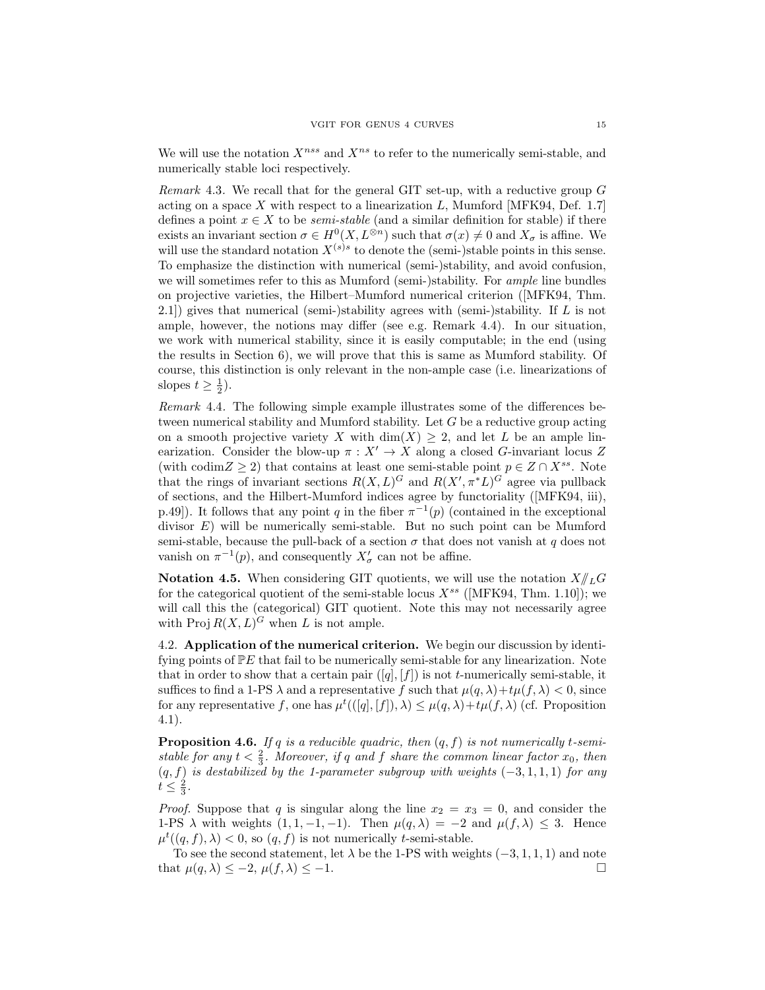We will use the notation  $X^{ns}$  and  $X^{ns}$  to refer to the numerically semi-stable, and numerically stable loci respectively.

*Remark* 4.3. We recall that for the general GIT set-up, with a reductive group  $G$ acting on a space  $X$  with respect to a linearization  $L$ , Mumford [MFK94, Def. 1.7] defines a point  $x \in X$  to be *semi-stable* (and a similar definition for stable) if there exists an invariant section  $\sigma \in H^0(X, L^{\otimes n})$  such that  $\sigma(x) \neq 0$  and  $X_{\sigma}$  is affine. We will use the standard notation  $X^{(s)s}$  to denote the (semi-)stable points in this sense. To emphasize the distinction with numerical (semi-)stability, and avoid confusion, we will sometimes refer to this as Mumford (semi-)stability. For *ample* line bundles on projective varieties, the Hilbert–Mumford numerical criterion ([MFK94, Thm. 2.1]) gives that numerical (semi-)stability agrees with (semi-)stability. If L is not ample, however, the notions may differ (see e.g. Remark 4.4). In our situation, we work with numerical stability, since it is easily computable; in the end (using the results in Section 6), we will prove that this is same as Mumford stability. Of course, this distinction is only relevant in the non-ample case (i.e. linearizations of slopes  $t \geq \frac{1}{2}$ ).

Remark 4.4. The following simple example illustrates some of the differences between numerical stability and Mumford stability. Let G be a reductive group acting on a smooth projective variety X with  $\dim(X) \geq 2$ , and let L be an ample linearization. Consider the blow-up  $\pi : X' \to X$  along a closed G-invariant locus Z (with codim  $Z \geq 2$ ) that contains at least one semi-stable point  $p \in Z \cap X^{ss}$ . Note that the rings of invariant sections  $R(X, L)^G$  and  $R(X', \pi^*L)^G$  agree via pullback of sections, and the Hilbert-Mumford indices agree by functoriality ([MFK94, iii), p.49]). It follows that any point q in the fiber  $\pi^{-1}(p)$  (contained in the exceptional divisor  $E$ ) will be numerically semi-stable. But no such point can be Mumford semi-stable, because the pull-back of a section  $\sigma$  that does not vanish at q does not vanish on  $\pi^{-1}(p)$ , and consequently  $X'_{\sigma}$  can not be affine.

**Notation 4.5.** When considering GIT quotients, we will use the notation  $X/\!\!/_{L}G$ for the categorical quotient of the semi-stable locus  $X^{ss}$  ([MFK94, Thm. 1.10]); we will call this the (categorical) GIT quotient. Note this may not necessarily agree with Proj  $R(X, L)^G$  when L is not ample.

4.2. Application of the numerical criterion. We begin our discussion by identifying points of  $\mathbb{P}E$  that fail to be numerically semi-stable for any linearization. Note that in order to show that a certain pair  $([q], [f])$  is not t-numerically semi-stable, it suffices to find a 1-PS  $\lambda$  and a representative f such that  $\mu(q, \lambda) + t\mu(f, \lambda) < 0$ , since for any representative f, one has  $\mu^t(([q], [f]), \lambda) \leq \mu(q, \lambda) + t\mu(f, \lambda)$  (cf. Proposition 4.1).

**Proposition 4.6.** If q is a reducible quadric, then  $(q, f)$  is not numerically t-semistable for any  $t < \frac{2}{3}$ . Moreover, if q and f share the common linear factor  $x_0$ , then  $(q, f)$  is destabilized by the 1-parameter subgroup with weights  $(-3, 1, 1, 1)$  for any  $t\leq \frac{2}{3}$ .

*Proof.* Suppose that q is singular along the line  $x_2 = x_3 = 0$ , and consider the 1-PS  $\lambda$  with weights  $(1, 1, -1, -1)$ . Then  $\mu(q, \lambda) = -2$  and  $\mu(f, \lambda) \leq 3$ . Hence  $\mu^t((q, f), \lambda) < 0$ , so  $(q, f)$  is not numerically t-semi-stable.

To see the second statement, let  $\lambda$  be the 1-PS with weights (-3, 1, 1, 1) and note that  $\mu(q, \lambda) \leq -2$ ,  $\mu(f, \lambda) \leq -1$ .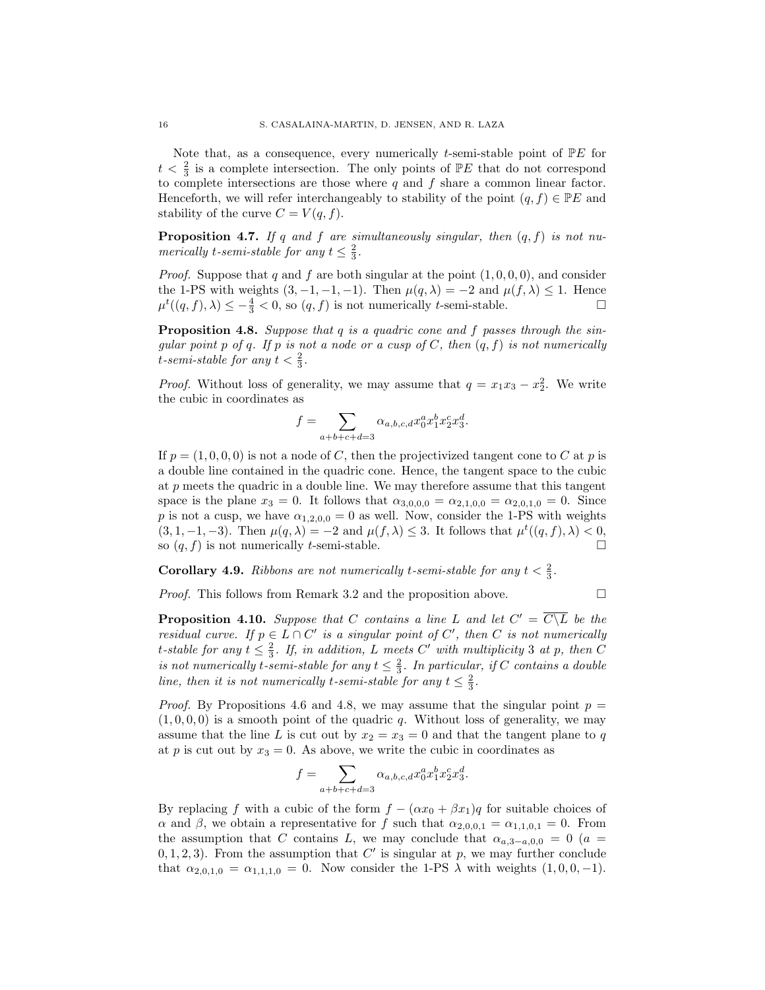Note that, as a consequence, every numerically t-semi-stable point of  $\mathbb{P} E$  for  $t < \frac{2}{3}$  is a complete intersection. The only points of  $\mathbb{P}E$  that do not correspond to complete intersections are those where  $q$  and  $f$  share a common linear factor. Henceforth, we will refer interchangeably to stability of the point  $(q, f) \in \mathbb{P}E$  and stability of the curve  $C = V(q, f)$ .

**Proposition 4.7.** If q and f are simultaneously singular, then  $(q, f)$  is not numerically t-semi-stable for any  $t \leq \frac{2}{3}$ .

*Proof.* Suppose that q and f are both singular at the point  $(1, 0, 0, 0)$ , and consider the 1-PS with weights  $(3, -1, -1, -1)$ . Then  $\mu(q, \lambda) = -2$  and  $\mu(f, \lambda) \leq 1$ . Hence  $\mu^t((q, f), \lambda) \leq -\frac{4}{3} < 0$ , so  $(q, f)$  is not numerically *t*-semi-stable.

Proposition 4.8. Suppose that q is a quadric cone and f passes through the singular point p of q. If p is not a node or a cusp of  $C$ , then  $(q, f)$  is not numerically t-semi-stable for any  $t < \frac{2}{3}$ .

*Proof.* Without loss of generality, we may assume that  $q = x_1x_3 - x_2^2$ . We write the cubic in coordinates as

$$
f = \sum_{a+b+c+d=3} \alpha_{a,b,c,d} x_0^a x_1^b x_2^c x_3^d.
$$

If  $p = (1, 0, 0, 0)$  is not a node of C, then the projectivized tangent cone to C at p is a double line contained in the quadric cone. Hence, the tangent space to the cubic at p meets the quadric in a double line. We may therefore assume that this tangent space is the plane  $x_3 = 0$ . It follows that  $\alpha_{3,0,0,0} = \alpha_{2,1,0,0} = \alpha_{2,0,1,0} = 0$ . Since p is not a cusp, we have  $\alpha_{1,2,0,0} = 0$  as well. Now, consider the 1-PS with weights  $(3, 1, -1, -3)$ . Then  $\mu(q, \lambda) = -2$  and  $\mu(f, \lambda) \leq 3$ . It follows that  $\mu^t((q, f), \lambda) < 0$ , so  $(q, f)$  is not numerically t-semi-stable.

# **Corollary 4.9.** Ribbons are not numerically t-semi-stable for any  $t < \frac{2}{3}$ .

*Proof.* This follows from Remark 3.2 and the proposition above.  $\Box$ 

**Proposition 4.10.** Suppose that C contains a line L and let  $C' = \overline{C \setminus L}$  be the residual curve. If  $p \in L \cap C'$  is a singular point of  $C'$ , then C is not numerically t-stable for any  $t \leq \frac{2}{3}$ . If, in addition, L meets C' with multiplicity 3 at p, then C is not numerically t-semi-stable for any  $t \leq \frac{2}{3}$ . In particular, if C contains a double line, then it is not numerically t-semi-stable for any  $t \leq \frac{2}{3}$ .

*Proof.* By Propositions 4.6 and 4.8, we may assume that the singular point  $p =$  $(1, 0, 0, 0)$  is a smooth point of the quadric q. Without loss of generality, we may assume that the line L is cut out by  $x_2 = x_3 = 0$  and that the tangent plane to q at p is cut out by  $x_3 = 0$ . As above, we write the cubic in coordinates as

$$
f = \sum_{a+b+c+d=3} \alpha_{a,b,c,d} x_0^a x_1^b x_2^c x_3^d.
$$

By replacing f with a cubic of the form  $f - (\alpha x_0 + \beta x_1)q$  for suitable choices of  $\alpha$  and  $\beta$ , we obtain a representative for f such that  $\alpha_{2,0,0,1} = \alpha_{1,1,0,1} = 0$ . From the assumption that C contains L, we may conclude that  $\alpha_{a,3-a,0,0} = 0$  (a =  $(0, 1, 2, 3)$ . From the assumption that C' is singular at p, we may further conclude that  $\alpha_{2,0,1,0} = \alpha_{1,1,1,0} = 0$ . Now consider the 1-PS  $\lambda$  with weights  $(1, 0, 0, -1)$ .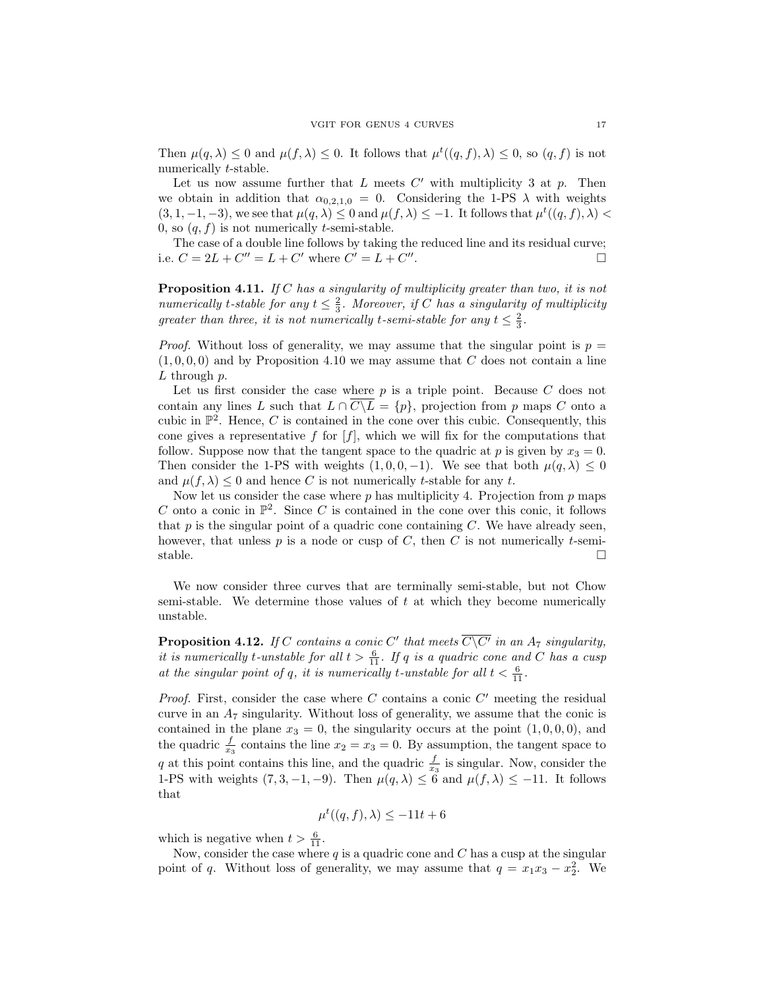Then  $\mu(q, \lambda) \leq 0$  and  $\mu(f, \lambda) \leq 0$ . It follows that  $\mu^t((q, f), \lambda) \leq 0$ , so  $(q, f)$  is not numerically t-stable.

Let us now assume further that  $L$  meets  $C'$  with multiplicity 3 at  $p$ . Then we obtain in addition that  $\alpha_{0,2,1,0} = 0$ . Considering the 1-PS  $\lambda$  with weights  $(3, 1, -1, -3)$ , we see that  $\mu(q, \lambda) \leq 0$  and  $\mu(f, \lambda) \leq -1$ . It follows that  $\mu^t((q, f), \lambda)$ 0, so  $(q, f)$  is not numerically *t*-semi-stable.

The case of a double line follows by taking the reduced line and its residual curve; i.e.  $C = 2L + C'' = L + C'$  where  $C' = L + C''$ . — Первый процесс в серверності процесс в серверності процесс в серверності процесс в серверності процесс в с<br>Первої в серверності процесс в серверності процесс в серверності процесс в серверності процесс в серверності

Proposition 4.11. If C has a singularity of multiplicity greater than two, it is not numerically t-stable for any  $t \leq \frac{2}{3}$ . Moreover, if C has a singularity of multiplicity greater than three, it is not numerically t-semi-stable for any  $t \leq \frac{2}{3}$ .

*Proof.* Without loss of generality, we may assume that the singular point is  $p =$  $(1, 0, 0, 0)$  and by Proposition 4.10 we may assume that C does not contain a line  $L$  through  $p$ .

Let us first consider the case where  $p$  is a triple point. Because  $C$  does not contain any lines L such that  $L \cap \overline{C \setminus L} = \{p\}$ , projection from p maps C onto a cubic in  $\mathbb{P}^2$ . Hence, C is contained in the cone over this cubic. Consequently, this cone gives a representative f for  $[f]$ , which we will fix for the computations that follow. Suppose now that the tangent space to the quadric at p is given by  $x_3 = 0$ . Then consider the 1-PS with weights  $(1, 0, 0, -1)$ . We see that both  $\mu(q, \lambda) \leq 0$ and  $\mu(f, \lambda) \leq 0$  and hence C is not numerically t-stable for any t.

Now let us consider the case where  $p$  has multiplicity 4. Projection from  $p$  maps C onto a conic in  $\mathbb{P}^2$ . Since C is contained in the cone over this conic, it follows that  $p$  is the singular point of a quadric cone containing  $C$ . We have already seen, however, that unless  $p$  is a node or cusp of  $C$ , then  $C$  is not numerically t-semistable.  $\Box$ 

We now consider three curves that are terminally semi-stable, but not Chow semi-stable. We determine those values of  $t$  at which they become numerically unstable.

**Proposition 4.12.** If C contains a conic C' that meets  $\overline{C\setminus C'}$  in an  $A_7$  singularity, it is numerically t-unstable for all  $t > \frac{6}{11}$ . If q is a quadric cone and C has a cusp at the singular point of q, it is numerically t-unstable for all  $t < \frac{6}{11}$ .

Proof. First, consider the case where  $C$  contains a conic  $C'$  meeting the residual curve in an  $A_7$  singularity. Without loss of generality, we assume that the conic is contained in the plane  $x_3 = 0$ , the singularity occurs at the point  $(1, 0, 0, 0)$ , and the quadric  $\frac{f}{x_3}$  contains the line  $x_2 = x_3 = 0$ . By assumption, the tangent space to q at this point contains this line, and the quadric  $\frac{f}{x_3}$  is singular. Now, consider the 1-PS with weights  $(7, 3, -1, -9)$ . Then  $\mu(q, \lambda) \leq 6$  and  $\mu(f, \lambda) \leq -11$ . It follows that

$$
\mu^t((q,f),\lambda) \le -11t + 6
$$

which is negative when  $t > \frac{6}{11}$ .

Now, consider the case where  $q$  is a quadric cone and  $C$  has a cusp at the singular point of q. Without loss of generality, we may assume that  $q = x_1x_3 - x_2^2$ . We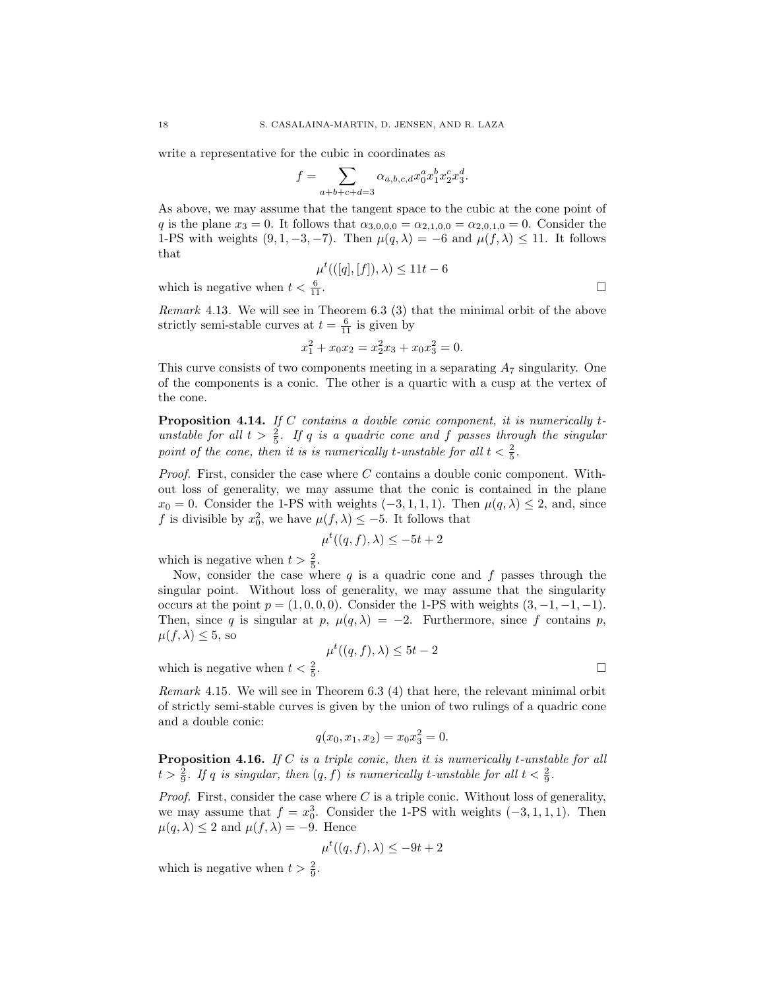write a representative for the cubic in coordinates as

$$
f = \sum_{a+b+c+d=3} \alpha_{a,b,c,d} x_0^a x_1^b x_2^c x_3^d.
$$

As above, we may assume that the tangent space to the cubic at the cone point of q is the plane  $x_3 = 0$ . It follows that  $\alpha_{3,0,0,0} = \alpha_{2,1,0,0} = \alpha_{2,0,1,0} = 0$ . Consider the 1-PS with weights  $(9, 1, -3, -7)$ . Then  $\mu(q, \lambda) = -6$  and  $\mu(f, \lambda) \le 11$ . It follows that

$$
\mu^t(([q],[f]),\lambda) \le 11t - 6
$$
  
 $\frac{6}{11}$ .

which is negative when  $t < \frac{6}{11}$ .

Remark 4.13. We will see in Theorem 6.3 (3) that the minimal orbit of the above strictly semi-stable curves at  $t = \frac{6}{11}$  is given by

$$
x_1^2 + x_0 x_2 = x_2^2 x_3 + x_0 x_3^2 = 0.
$$

This curve consists of two components meeting in a separating  $A_7$  singularity. One of the components is a conic. The other is a quartic with a cusp at the vertex of the cone.

Proposition 4.14. If C contains a double conic component, it is numerically tunstable for all  $t > \frac{2}{5}$ . If q is a quadric cone and f passes through the singular point of the cone, then it is is numerically t-unstable for all  $t < \frac{2}{5}$ .

*Proof.* First, consider the case where  $C$  contains a double conic component. Without loss of generality, we may assume that the conic is contained in the plane  $x_0 = 0$ . Consider the 1-PS with weights  $(-3, 1, 1, 1)$ . Then  $\mu(q, \lambda) \leq 2$ , and, since f is divisible by  $x_0^2$ , we have  $\mu(f, \lambda) \leq -5$ . It follows that

$$
\mu^t((q,f),\lambda) \le -5t + 2
$$

which is negative when  $t > \frac{2}{5}$ .

Now, consider the case where  $q$  is a quadric cone and  $f$  passes through the singular point. Without loss of generality, we may assume that the singularity occurs at the point  $p = (1, 0, 0, 0)$ . Consider the 1-PS with weights  $(3, -1, -1, -1)$ . Then, since q is singular at p,  $\mu(q, \lambda) = -2$ . Furthermore, since f contains p,  $\mu(f, \lambda) \leq 5$ , so

$$
\mu^t((q,f),\lambda) \le 5t - 2
$$

which is negative when  $t < \frac{2}{5}$ 

Remark 4.15. We will see in Theorem 6.3 (4) that here, the relevant minimal orbit of strictly semi-stable curves is given by the union of two rulings of a quadric cone and a double conic:

$$
q(x_0, x_1, x_2) = x_0 x_3^2 = 0.
$$

**Proposition 4.16.** If  $C$  is a triple conic, then it is numerically t-unstable for all  $t > \frac{2}{9}$ . If q is singular, then  $(q, f)$  is numerically t-unstable for all  $t < \frac{2}{9}$ .

*Proof.* First, consider the case where  $C$  is a triple conic. Without loss of generality, we may assume that  $f = x_0^3$ . Consider the 1-PS with weights  $(-3, 1, 1, 1)$ . Then  $\mu(q, \lambda) \leq 2$  and  $\mu(f, \lambda) = -9$ . Hence

$$
\mu^t((q, f), \lambda) \le -9t + 2
$$

which is negative when  $t > \frac{2}{9}$ .

. В последните поставите на селото на селото на селото на селото на селото на селото на селото на селото на се<br>Селото на селото на селото на селото на селото на селото на селото на селото на селото на селото на селото на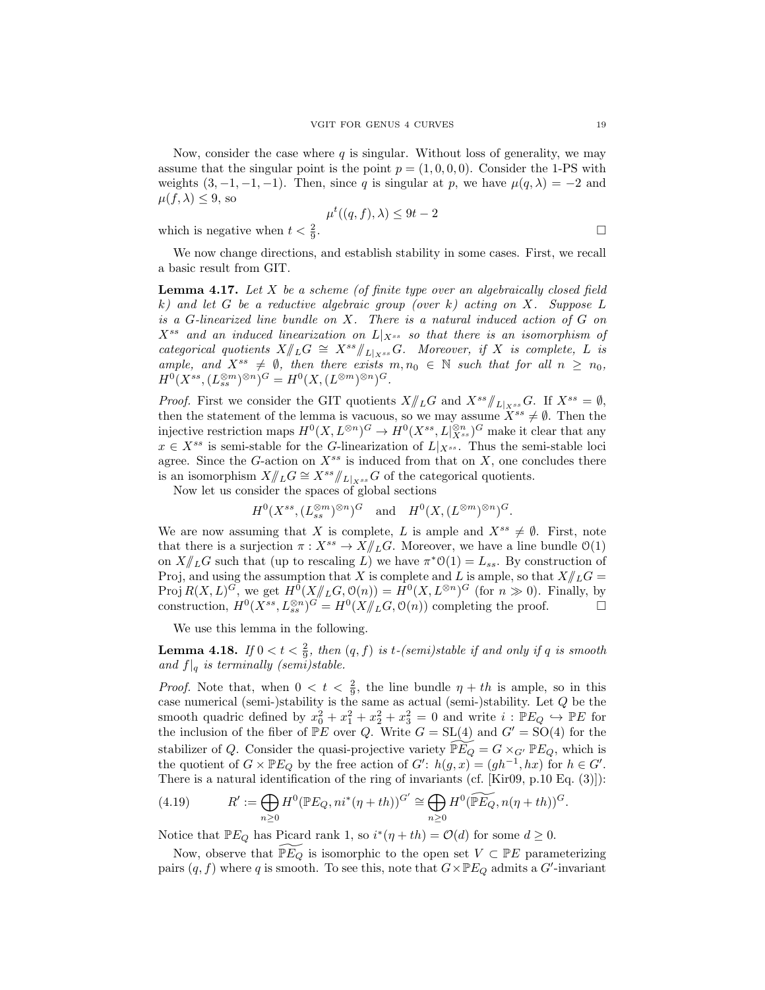Now, consider the case where  $q$  is singular. Without loss of generality, we may assume that the singular point is the point  $p = (1, 0, 0, 0)$ . Consider the 1-PS with weights  $(3, -1, -1, -1)$ . Then, since q is singular at p, we have  $\mu(q, \lambda) = -2$  and  $\mu(f, \lambda) \leq 9$ , so

$$
\mu^t((q, f), \lambda) \le 9t - 2
$$

which is negative when  $t < \frac{2}{9}$ 

$$
\qquad \qquad \Box
$$

We now change directions, and establish stability in some cases. First, we recall a basic result from GIT.

**Lemma 4.17.** Let  $X$  be a scheme (of finite type over an algebraically closed field k) and let G be a reductive algebraic group (over k) acting on X. Suppose  $L$ is a G-linearized line bundle on X. There is a natural induced action of G on  $X^{ss}$  and an induced linearization on  $L|_{X^{ss}}$  so that there is an isomorphism of categorical quotients  $X/\!\!/_{L}G \cong X^{ss}/\!\!/_{L|_{X^{ss}}}G$ . Moreover, if X is complete, L is ample, and  $X^{ss} \neq \emptyset$ , then there exists  $m, n_0 \in \mathbb{N}$  such that for all  $n \geq n_0$ ,  $H^0(X^{ss},(L_{ss}^{\otimes m})^{\otimes n})^G = H^0(X,(L^{\otimes m})^{\otimes n})^G.$ 

*Proof.* First we consider the GIT quotients  $X/\!\!/_{L}G$  and  $X^{ss}/\!\!/_{L|_{X^{ss}}}G$ . If  $X^{ss} = \emptyset$ , then the statement of the lemma is vacuous, so we may assume  $\widetilde{X}^{ss} \neq \emptyset$ . Then the injective restriction maps  $H^0(X, L^{\otimes n})^G \to H^0(X^{ss}, L|_{X^{ss}}^{\otimes n})^G$  make it clear that any  $x \in X^{ss}$  is semi-stable for the G-linearization of  $L|_{X^{ss}}$ . Thus the semi-stable loci agree. Since the G-action on  $X^{ss}$  is induced from that on  $X$ , one concludes there is an isomorphism  $X/\!\!/_{L} G \cong X^{ss}/\!\!/_{L|_{X^{ss}}} G$  of the categorical quotients.

Now let us consider the spaces of global sections

 $H^0(X^{ss},(L_{ss}^{\otimes m})^{\otimes n})^G$  and  $H^0(X,(L^{\otimes m})^{\otimes n})^G$ .

We are now assuming that X is complete, L is ample and  $X^{ss} \neq \emptyset$ . First, note that there is a surjection  $\pi: X^{ss} \to X/\!\!/_{L}G$ . Moreover, we have a line bundle  $\mathcal{O}(1)$ on  $X/\!\!/_{L}G$  such that (up to rescaling L) we have  $\pi^*{\mathfrak{O}}(1) = L_{ss}$ . By construction of Proj, and using the assumption that X is complete and L is ample, so that  $X/\!\!/_{L} G =$ Proj  $R(X, L)^G$ , we get  $H^0(X/\!\!/_{L}G, \mathcal{O}(n)) = H^0(X, L^{\otimes n})^G$  (for  $n \gg 0$ ). Finally, by construction,  $H^0(X^{ss}, L_{ss}^{\otimes n})^{G'} = H^0(X/\hspace{-3pt}/_{L}G, \mathcal{O}(n))$  completing the proof.

We use this lemma in the following.

**Lemma 4.18.** If  $0 < t < \frac{2}{9}$ , then  $(q, f)$  is t-(semi)stable if and only if q is smooth and  $f|_q$  is terminally (semi)stable.

*Proof.* Note that, when  $0 < t < \frac{2}{9}$ , the line bundle  $\eta + th$  is ample, so in this case numerical (semi-)stability is the same as actual (semi-)stability. Let  $Q$  be the smooth quadric defined by  $x_0^2 + x_1^2 + x_2^2 + x_3^2 = 0$  and write  $i : \mathbb{P} E_Q \hookrightarrow \mathbb{P} E$  for the inclusion of the fiber of  $\mathbb{P}E$  over Q. Write  $G = SL(4)$  and  $G' = SO(4)$  for the stabilizer of Q. Consider the quasi-projective variety  $\widetilde{\mathbb{P} E_Q} = G \times_{G'} \mathbb{P} E_Q$ , which is the quotient of  $G \times \mathbb{P} E_Q$  by the free action of  $G'$ :  $h(g, x) = (gh^{-1}, hx)$  for  $h \in G'$ . There is a natural identification of the ring of invariants (cf. [Kir09, p.10 Eq. (3)]):

(4.19) 
$$
R' := \bigoplus_{n\geq 0} H^0(\mathbb{P}E_Q, ni^*(\eta + th))^{G'} \cong \bigoplus_{n\geq 0} H^0(\widetilde{\mathbb{P}E_Q}, n(\eta + th))^G.
$$

Notice that  $\mathbb{P} E_Q$  has Picard rank 1, so  $i^*(\eta + th) = \mathcal{O}(d)$  for some  $d \geq 0$ .

Now, observe that  $\mathbb{P}E_Q$  is isomorphic to the open set  $V \subset \mathbb{P}E$  parameterizing pairs  $(q, f)$  where q is smooth. To see this, note that  $G \times \mathbb{P} E_Q$  admits a  $G'$ -invariant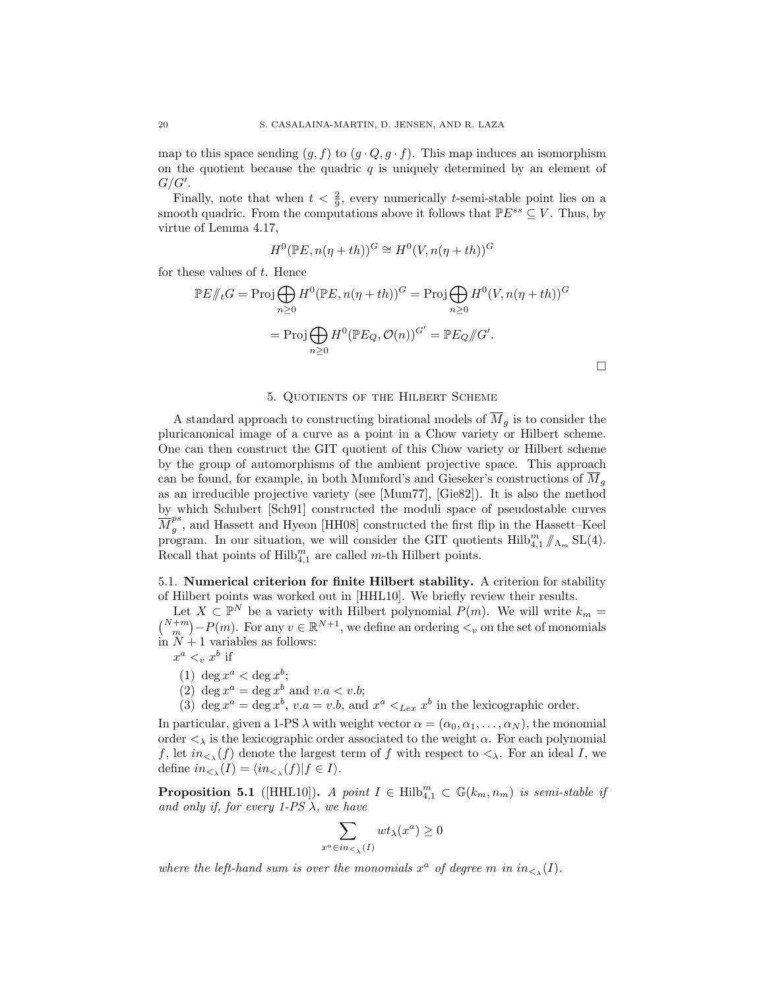map to this space sending  $(g, f)$  to  $(g \cdot Q, g \cdot f)$ . This map induces an isomorphism on the quotient because the quadric  $q$  is uniquely determined by an element of  $G/G'.$ 

Finally, note that when  $t < \frac{2}{9}$ , every numerically t-semi-stable point lies on a smooth quadric. From the computations above it follows that  $\mathbb{P}E^{ss} \subseteq V$ . Thus, by virtue of Lemma 4.17,

$$
H^{0}(\mathbb{P}E, n(\eta + th))^{G} \cong H^{0}(V, n(\eta + th))^{G}
$$

for these values of  $t$ . Hence

$$
\mathbb{P}E/\!\!/_{t}G = \text{Proj} \bigoplus_{n\geq 0} H^{0}(\mathbb{P}E, n(\eta + th))^{G} = \text{Proj} \bigoplus_{n\geq 0} H^{0}(V, n(\eta + th))^{G}
$$

$$
= \text{Proj} \bigoplus_{n\geq 0} H^{0}(\mathbb{P}E_{Q}, \mathcal{O}(n))^{G'} = \mathbb{P}E_{Q}/\!\!/G'.
$$

### 5. Quotients of the Hilbert Scheme

A standard approach to constructing birational models of  $\overline{M}_q$  is to consider the pluricanonical image of a curve as a point in a Chow variety or Hilbert scheme. One can then construct the GIT quotient of this Chow variety or Hilbert scheme by the group of automorphisms of the ambient projective space. This approach can be found, for example, in both Mumford's and Gieseker's constructions of  $M<sub>q</sub>$ as an irreducible projective variety (see [Mum77], [Gie82]). It is also the method by which Schubert [Sch91] constructed the moduli space of pseudostable curves  $\frac{v}{M}^{ps}_a$  $_g^{\nu\sigma}$ , and Hassett and Hyeon [HH08] constructed the first flip in the Hassett–Keel program. In our situation, we will consider the GIT quotients  $\text{Hilb}_{4,1}^m/\!\!/_{\Lambda_m} \text{SL}(4)$ . Recall that points of  $Hilb_{4,1}^m$  are called m-th Hilbert points.

5.1. Numerical criterion for finite Hilbert stability. A criterion for stability of Hilbert points was worked out in [HHL10]. We briefly review their results.

Let  $X \subset \mathbb{P}^N$  be a variety with Hilbert polynomial  $P(m)$ . We will write  $k_m =$  $\binom{N+m}{m}-P(m)$ . For any  $v \in \mathbb{R}^{N+1}$ , we define an ordering  $\lt_v$  on the set of monomials in  $N + 1$  variables as follows:

 $x^a <_v x^b$  if

- (1) deg  $x^a < \deg x^b$ ;
- (2) deg  $x^a = \deg x^b$  and  $v.a < v.b$ ;
- (3) deg  $x^a = \deg x^b$ ,  $v.a = v.b$ , and  $x^a <_{Lex} x^b$  in the lexicographic order.

In particular, given a 1-PS  $\lambda$  with weight vector  $\alpha = (\alpha_0, \alpha_1, \dots, \alpha_N)$ , the monomial order  $\lt_{\lambda}$  is the lexicographic order associated to the weight  $\alpha$ . For each polynomial f, let  $in_{\leq \lambda}(f)$  denote the largest term of f with respect to  $\leq_{\lambda}$ . For an ideal I, we define  $in_{\leq_{\lambda}}(I) = \langle in_{\leq_{\lambda}}(f) | f \in I \rangle$ .

**Proposition 5.1** ([HHL10]). A point  $I \in Hilb_{4,1}^m \subset \mathbb{G}(k_m,n_m)$  is semi-stable if and only if, for every 1-PS  $\lambda$ , we have

$$
\sum_{x^a \in in_{\leq \lambda}(I)} wt_{\lambda}(x^a) \geq 0
$$

where the left-hand sum is over the monomials  $x^a$  of degree m in  $in_{\leq \lambda}(I)$ .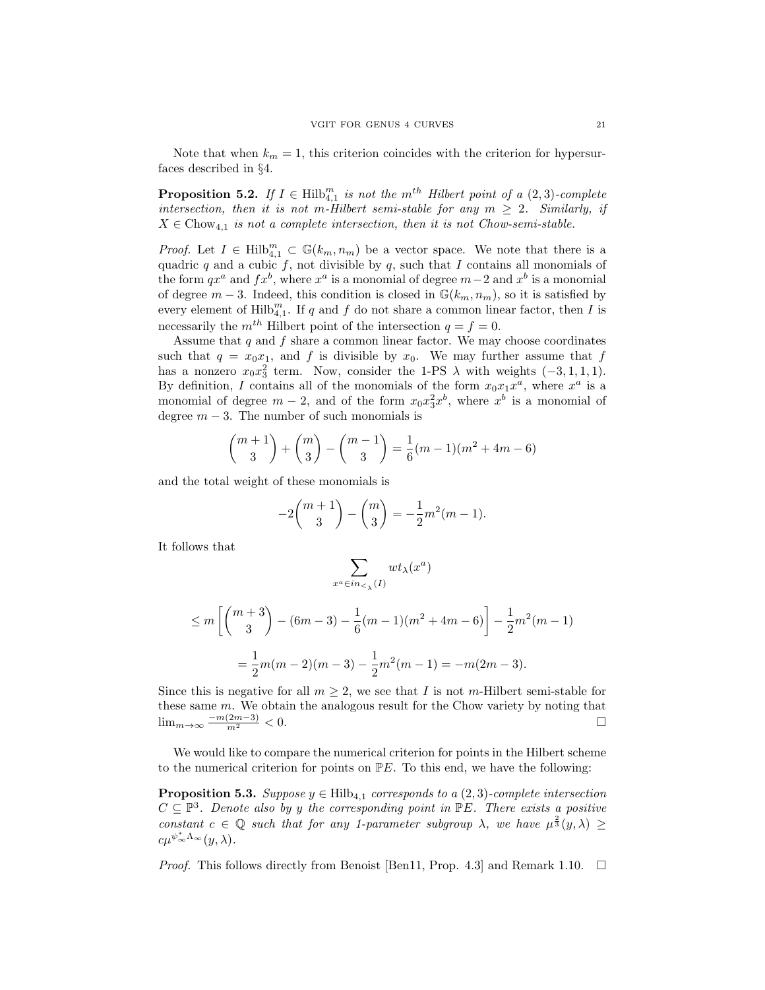Note that when  $k_m = 1$ , this criterion coincides with the criterion for hypersurfaces described in §4.

**Proposition 5.2.** If  $I \in Hilb_{4,1}^m$  is not the  $m^{th}$  Hilbert point of a  $(2,3)$ -complete intersection, then it is not m-Hilbert semi-stable for any  $m \geq 2$ . Similarly, if  $X \in \text{Chow}_{4,1}$  is not a complete intersection, then it is not Chow-semi-stable.

*Proof.* Let  $I \in Hilb_{4,1}^m \subset \mathbb{G}(k_m,n_m)$  be a vector space. We note that there is a quadric q and a cubic f, not divisible by  $q$ , such that I contains all monomials of the form  $qx^a$  and  $fx^b$ , where  $x^a$  is a monomial of degree  $m-2$  and  $x^b$  is a monomial of degree  $m-3$ . Indeed, this condition is closed in  $\mathbb{G}(k_m, n_m)$ , so it is satisfied by every element of  $\mathrm{Hilb}_{4,1}^m$ . If q and f do not share a common linear factor, then I is necessarily the  $m^{th}$  Hilbert point of the intersection  $q = f = 0$ .

Assume that  $q$  and  $f$  share a common linear factor. We may choose coordinates such that  $q = x_0x_1$ , and f is divisible by  $x_0$ . We may further assume that f has a nonzero  $x_0x_3^2$  term. Now, consider the 1-PS  $\lambda$  with weights  $(-3, 1, 1, 1)$ . By definition, I contains all of the monomials of the form  $x_0x_1x^a$ , where  $x^a$  is a monomial of degree  $m-2$ , and of the form  $x_0x_3^2x^b$ , where  $x^b$  is a monomial of degree  $m - 3$ . The number of such monomials is

$$
\binom{m+1}{3} + \binom{m}{3} - \binom{m-1}{3} = \frac{1}{6}(m-1)(m^2 + 4m - 6)
$$

and the total weight of these monomials is

$$
-2\binom{m+1}{3} - \binom{m}{3} = -\frac{1}{2}m^2(m-1).
$$

It follows that

$$
\sum_{x^a \in in_{\leq \lambda}(I)} wt_{\lambda}(x^a)
$$

$$
\leq m \left[ \binom{m+3}{3} - (6m-3) - \frac{1}{6}(m-1)(m^2 + 4m - 6) \right] - \frac{1}{2}m^2(m-1)
$$
  
=  $\frac{1}{2}m(m-2)(m-3) - \frac{1}{2}m^2(m-1) = -m(2m-3).$ 

Since this is negative for all  $m \geq 2$ , we see that I is not m-Hilbert semi-stable for these same  $m$ . We obtain the analogous result for the Chow variety by noting that  $\lim_{m\to\infty} \frac{-m(2m-3)}{m^2}$  < 0. □

We would like to compare the numerical criterion for points in the Hilbert scheme to the numerical criterion for points on  $\mathbb{P}E$ . To this end, we have the following:

**Proposition 5.3.** Suppose  $y \in Hilb_{4,1}$  corresponds to a  $(2,3)$ -complete intersection  $C \subseteq \mathbb{P}^3$ . Denote also by y the corresponding point in  $\mathbb{P}E$ . There exists a positive constant  $c \in \mathbb{Q}$  such that for any 1-parameter subgroup  $\lambda$ , we have  $\mu^{\frac{2}{3}}(y,\lambda) \geq$  $c\mu^{\psi^*_{\infty}\Lambda_{\infty}}(y,\lambda).$ 

*Proof.* This follows directly from Benoist [Ben11, Prop. 4.3] and Remark 1.10.  $\Box$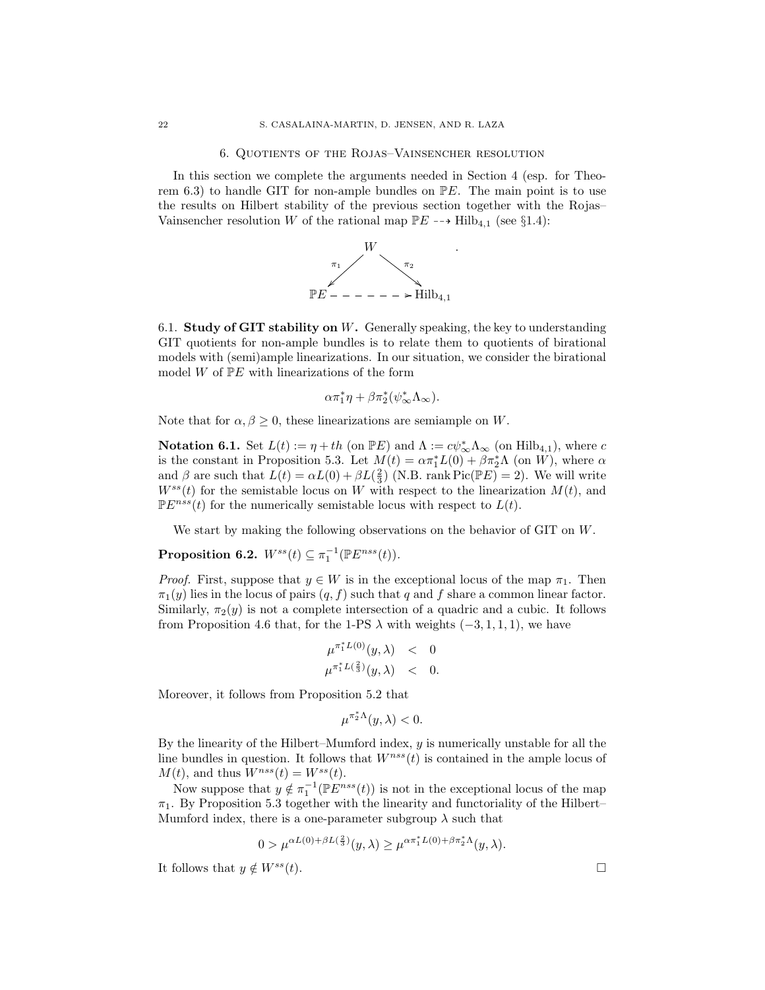### 6. Quotients of the Rojas–Vainsencher resolution

In this section we complete the arguments needed in Section 4 (esp. for Theorem 6.3) to handle GIT for non-ample bundles on  $\mathbb{P}E$ . The main point is to use the results on Hilbert stability of the previous section together with the Rojas– Vainsencher resolution W of the rational map  $\mathbb{P}E \dashrightarrow \text{Hilb}_{4,1}$  (see §1.4):



6.1. Study of GIT stability on  $W$ . Generally speaking, the key to understanding GIT quotients for non-ample bundles is to relate them to quotients of birational models with (semi)ample linearizations. In our situation, we consider the birational model  $W$  of  $\mathbb{P}E$  with linearizations of the form

$$
\alpha \pi_1^* \eta + \beta \pi_2^* (\psi_\infty^* \Lambda_\infty).
$$

Note that for  $\alpha, \beta \geq 0$ , these linearizations are semiample on W.

**Notation 6.1.** Set  $L(t) := \eta + th$  (on  $\mathbb{P}E$ ) and  $\Lambda := c\psi_{\infty}^*\Lambda_{\infty}$  (on  $\text{Hilb}_{4,1}$ ), where c is the constant in Proposition 5.3. Let  $M(t) = \alpha \pi_1^* L(0) + \beta \pi_2^* \Lambda$  (on W), where  $\alpha$ and  $\beta$  are such that  $L(t) = \alpha L(0) + \beta L(\frac{2}{3})$  (N.B. rank Pic( $\mathbb{P}E()= 2$ ). We will write  $W^{ss}(t)$  for the semistable locus on W with respect to the linearization  $M(t)$ , and  $\mathbb{P}E^{nss}(t)$  for the numerically semistable locus with respect to  $L(t)$ .

We start by making the following observations on the behavior of GIT on W.

**Proposition 6.2.**  $W^{ss}(t) \subseteq \pi_1^{-1}(\mathbb{P}E^{nss}(t)).$ 

*Proof.* First, suppose that  $y \in W$  is in the exceptional locus of the map  $\pi_1$ . Then  $\pi_1(y)$  lies in the locus of pairs  $(q, f)$  such that q and f share a common linear factor. Similarly,  $\pi_2(y)$  is not a complete intersection of a quadric and a cubic. It follows from Proposition 4.6 that, for the 1-PS  $\lambda$  with weights (-3, 1, 1, 1), we have

$$
\begin{array}{rcl}\n\mu^{\pi_1^*L(0)}(y,\lambda) & < & 0 \\
\mu^{\pi_1^*L(\frac{2}{3})}(y,\lambda) & < & 0.\n\end{array}
$$

Moreover, it follows from Proposition 5.2 that

$$
\mu^{\pi_2^*\Lambda}(y,\lambda) < 0.
$$

By the linearity of the Hilbert–Mumford index, y is numerically unstable for all the line bundles in question. It follows that  $W^{nss}(t)$  is contained in the ample locus of  $M(t)$ , and thus  $W^{nss}(t) = W^{ss}(t)$ .

Now suppose that  $y \notin \pi_1^{-1}(\mathbb{P}E^{nss}(t))$  is not in the exceptional locus of the map  $\pi_1$ . By Proposition 5.3 together with the linearity and functoriality of the Hilbert– Mumford index, there is a one-parameter subgroup  $\lambda$  such that

$$
0 > \mu^{\alpha L(0) + \beta L(\frac{2}{3})}(y,\lambda) \geq \mu^{\alpha \pi_1^* L(0) + \beta \pi_2^* \Lambda}(y,\lambda).
$$

It follows that  $y \notin W^{ss}(t)$ .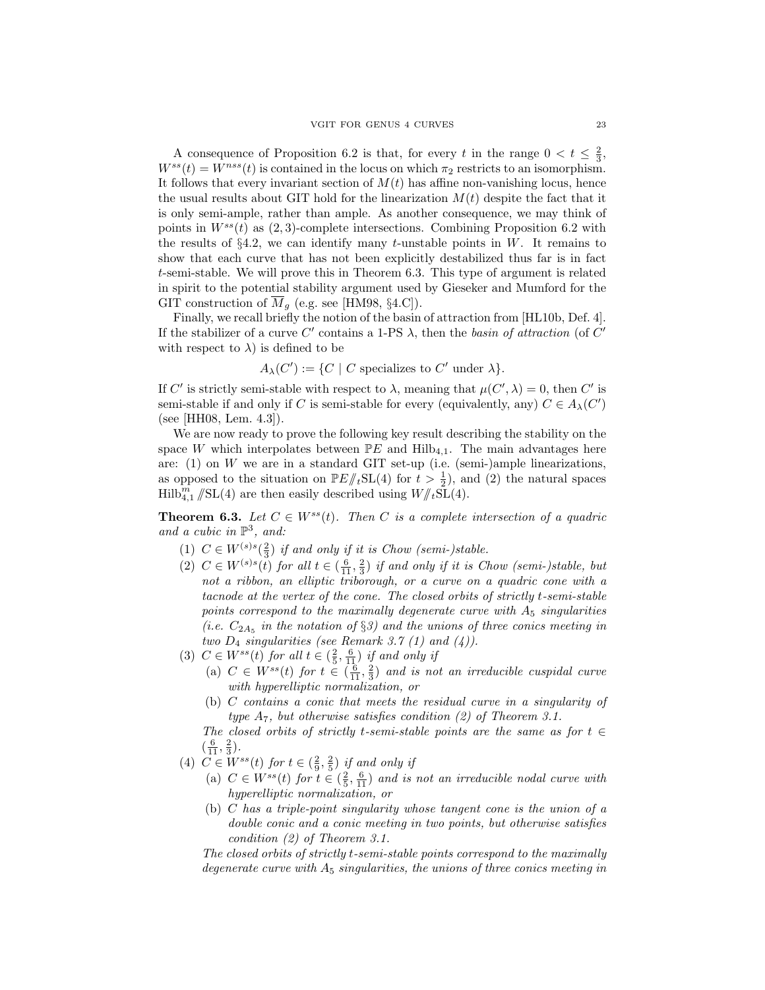A consequence of Proposition 6.2 is that, for every t in the range  $0 < t \leq \frac{2}{3}$ ,  $W^{ss}(t) = W^{nss}(t)$  is contained in the locus on which  $\pi_2$  restricts to an isomorphism. It follows that every invariant section of  $M(t)$  has affine non-vanishing locus, hence the usual results about GIT hold for the linearization  $M(t)$  despite the fact that it is only semi-ample, rather than ample. As another consequence, we may think of points in  $W^{ss}(t)$  as  $(2, 3)$ -complete intersections. Combining Proposition 6.2 with the results of  $\S 4.2$ , we can identify many t-unstable points in W. It remains to show that each curve that has not been explicitly destabilized thus far is in fact t-semi-stable. We will prove this in Theorem 6.3. This type of argument is related in spirit to the potential stability argument used by Gieseker and Mumford for the GIT construction of  $\overline{M}_q$  (e.g. see [HM98, §4.C]).

Finally, we recall briefly the notion of the basin of attraction from [HL10b, Def. 4]. If the stabilizer of a curve C' contains a 1-PS  $\lambda$ , then the basin of attraction (of C' with respect to  $\lambda$ ) is defined to be

 $A_{\lambda}(C') := \{C \mid C \text{ specializes to } C' \text{ under } \lambda\}.$ 

If C' is strictly semi-stable with respect to  $\lambda$ , meaning that  $\mu(C', \lambda) = 0$ , then C' is semi-stable if and only if C is semi-stable for every (equivalently, any)  $C \in A_{\lambda}(C')$ (see [HH08, Lem. 4.3]).

We are now ready to prove the following key result describing the stability on the space W which interpolates between  $\mathbb{P}E$  and  $\text{Hilb}_{4,1}$ . The main advantages here are:  $(1)$  on W we are in a standard GIT set-up (i.e. (semi-)ample linearizations, as opposed to the situation on  $\mathbb{P}E/\!\!/_{t}SL(4)$  for  $t > \frac{1}{2}$ , and (2) the natural spaces  $\text{Hilb}_{4,1}^m/\text{SL}(4)$  are then easily described using  $W/\!\!/_{t}\tilde{\text{SL}}(4)$ .

**Theorem 6.3.** Let  $C \in W^{ss}(t)$ . Then C is a complete intersection of a quadric and a cubic in  $\mathbb{P}^3$ , and:

- (1)  $C \in W^{(s)s}(\frac{2}{3})$  if and only if it is Chow (semi-)stable.
- (2)  $C \in W^{(s)s}(t)$  for all  $t \in (\frac{6}{11}, \frac{2}{3})$  if and only if it is Chow (semi-)stable, but not a ribbon, an elliptic triborough, or a curve on a quadric cone with a tacnode at the vertex of the cone. The closed orbits of strictly t-semi-stable points correspond to the maximally degenerate curve with  $A_5$  singularities (i.e.  $C_{2A_5}$  in the notation of §3) and the unions of three conics meeting in two  $D_4$  singularities (see Remark 3.7 (1) and (4)).
- (3)  $C \in W^{ss}(t)$  for all  $t \in (\frac{2}{5}, \frac{6}{11})$  if and only if
	- (a)  $C \in W^{ss}(t)$  for  $t \in (\frac{6}{11}, \frac{2}{3})$  and is not an irreducible cuspidal curve with hyperelliptic normalization, or
	- (b) C contains a conic that meets the residual curve in a singularity of type  $A_7$ , but otherwise satisfies condition (2) of Theorem 3.1.

The closed orbits of strictly t-semi-stable points are the same as for  $t \in$  $\left(\frac{6}{11}, \frac{2}{3}\right)$ .

- (4)  $C \in W^{ss}(t)$  for  $t \in (\frac{2}{9}, \frac{2}{5})$  if and only if
	- (a)  $C \in W^{ss}(t)$  for  $t \in (\frac{2}{5}, \frac{6}{11})$  and is not an irreducible nodal curve with hyperelliptic normalization, or
	- (b) C has a triple-point singularity whose tangent cone is the union of a double conic and a conic meeting in two points, but otherwise satisfies condition (2) of Theorem 3.1.

The closed orbits of strictly t-semi-stable points correspond to the maximally degenerate curve with  $A_5$  singularities, the unions of three conics meeting in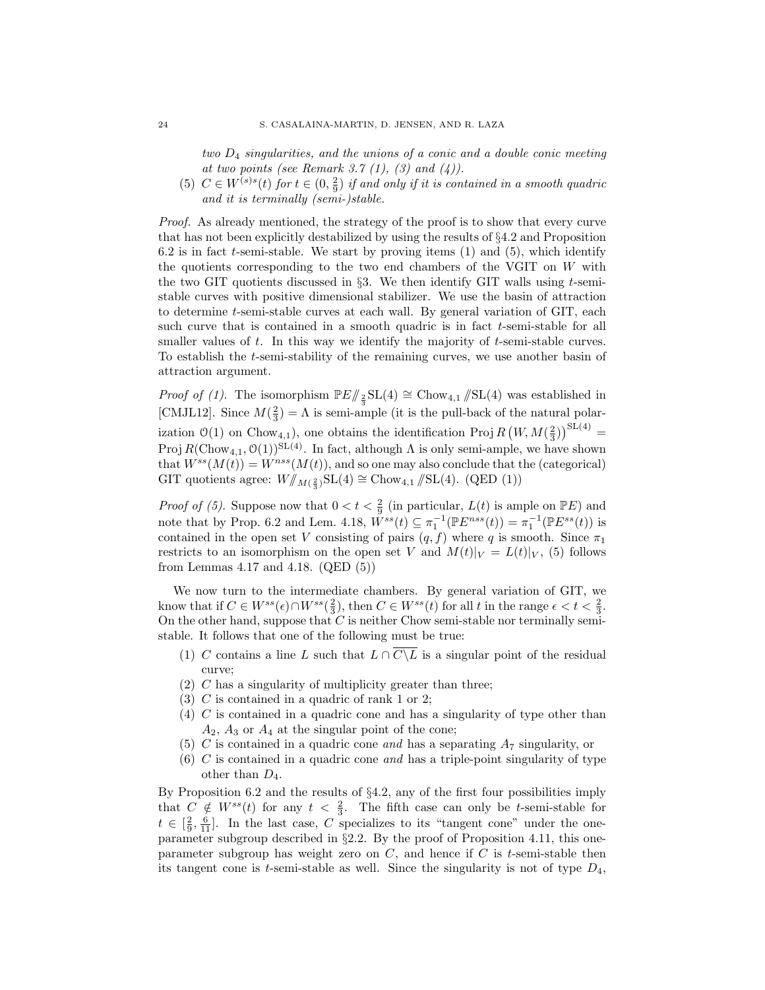two  $D_4$  singularities, and the unions of a conic and a double conic meeting at two points (see Remark 3.7  $(1)$ ,  $(3)$  and  $(4)$ ).

(5)  $C \in W^{(s)s}(t)$  for  $t \in (0, \frac{2}{9})$  if and only if it is contained in a smooth quadric and it is terminally (semi-)stable.

Proof. As already mentioned, the strategy of the proof is to show that every curve that has not been explicitly destabilized by using the results of §4.2 and Proposition 6.2 is in fact  $t$ -semi-stable. We start by proving items  $(1)$  and  $(5)$ , which identify the quotients corresponding to the two end chambers of the VGIT on W with the two GIT quotients discussed in  $\S 3$ . We then identify GIT walls using t-semistable curves with positive dimensional stabilizer. We use the basin of attraction to determine t-semi-stable curves at each wall. By general variation of GIT, each such curve that is contained in a smooth quadric is in fact t-semi-stable for all smaller values of  $t$ . In this way we identify the majority of  $t$ -semi-stable curves. To establish the t-semi-stability of the remaining curves, we use another basin of attraction argument.

*Proof of (1)*. The isomorphism  $\mathbb{P}E/\mathbb{Z}_{\frac{2}{3}}\text{SL}(4) \cong \text{Chow}_{4,1}/\text{SL}(4)$  was established in [CMJL12]. Since  $M(\frac{2}{3}) = \Lambda$  is semi-ample (it is the pull-back of the natural polarization  $\mathcal{O}(1)$  on Chow<sub>4,1</sub>), one obtains the identification Proj  $R(W, M(\frac{2}{3}))^{\text{SL}(4)} =$ Proj  $R(\text{Chow}_{4,1}, \mathcal{O}(1))^{\text{SL}(4)}$ . In fact, although  $\Lambda$  is only semi-ample, we have shown that  $W^{ss}(M(t)) = W^{nss}(M(t))$ , and so one may also conclude that the (categorical) GIT quotients agree:  $W/\!\!/_{M(\frac{2}{3})} \text{SL}(4) \cong \text{Chow}_{4,1}/\!\!/ \text{SL}(4)$ . (QED (1))

*Proof of (5)*. Suppose now that  $0 < t < \frac{2}{9}$  (in particular,  $L(t)$  is ample on  $\mathbb{P}E$ ) and note that by Prop. 6.2 and Lem. 4.18,  $W^{ss}(t) \subseteq \pi_1^{-1}(\mathbb{P}E^{nss}(t)) = \pi_1^{-1}(\mathbb{P}E^{ss}(t))$  is contained in the open set V consisting of pairs  $(q, f)$  where q is smooth. Since  $\pi_1$ restricts to an isomorphism on the open set V and  $M(t)|_V = L(t)|_V$ , (5) follows from Lemmas 4.17 and 4.18. (QED (5))

We now turn to the intermediate chambers. By general variation of GIT, we know that if  $C \in W^{ss}(\epsilon) \cap W^{ss}(\frac{2}{3})$ , then  $C \in W^{ss}(t)$  for all t in the range  $\epsilon < t < \frac{2}{3}$ . On the other hand, suppose that  $C$  is neither Chow semi-stable nor terminally semistable. It follows that one of the following must be true:

- (1) C contains a line L such that  $L \cap \overline{C \setminus L}$  is a singular point of the residual curve;
- $(2)$  C has a singularity of multiplicity greater than three;
- (3) C is contained in a quadric of rank 1 or 2;
- (4) C is contained in a quadric cone and has a singularity of type other than  $A_2$ ,  $A_3$  or  $A_4$  at the singular point of the cone;
- (5) C is contained in a quadric cone and has a separating  $A_7$  singularity, or
- $(6)$  C is contained in a quadric cone and has a triple-point singularity of type other than  $D_4$ .

By Proposition 6.2 and the results of §4.2, any of the first four possibilities imply that  $C \notin W^{ss}(t)$  for any  $t < \frac{2}{3}$ . The fifth case can only be t-semi-stable for  $t \in \left[\frac{2}{9}, \frac{6}{11}\right]$ . In the last case, C specializes to its "tangent cone" under the oneparameter subgroup described in §2.2. By the proof of Proposition 4.11, this oneparameter subgroup has weight zero on  $C$ , and hence if  $C$  is t-semi-stable then its tangent cone is t-semi-stable as well. Since the singularity is not of type  $D_4$ ,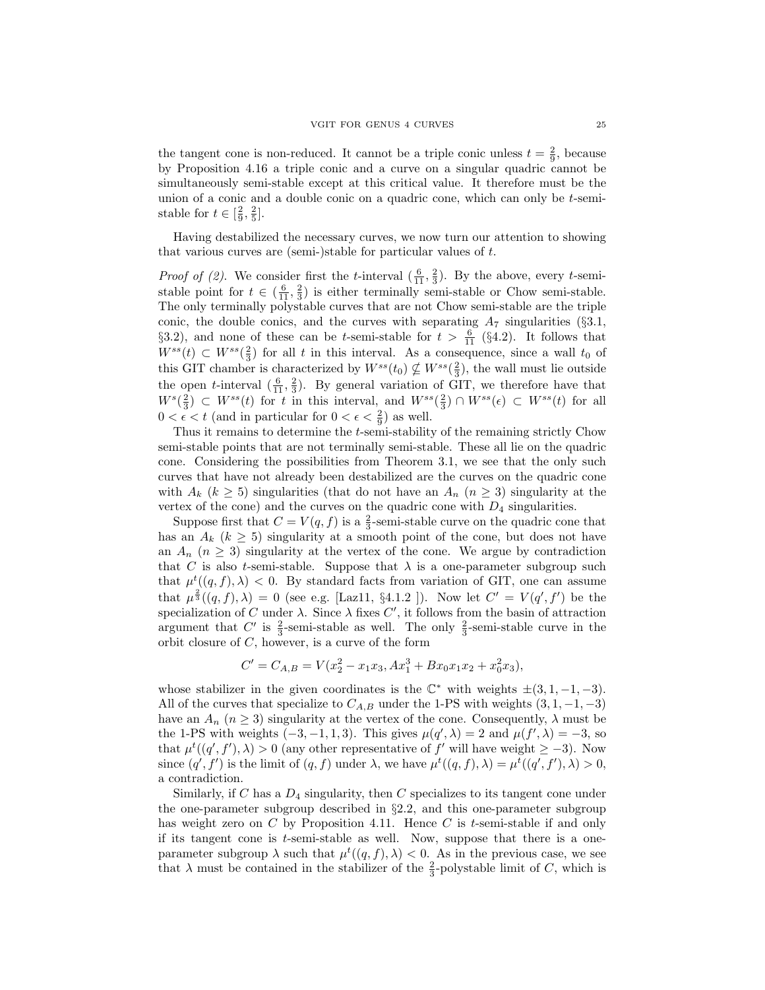the tangent cone is non-reduced. It cannot be a triple conic unless  $t = \frac{2}{9}$ , because by Proposition 4.16 a triple conic and a curve on a singular quadric cannot be simultaneously semi-stable except at this critical value. It therefore must be the union of a conic and a double conic on a quadric cone, which can only be t-semistable for  $t \in \left[\frac{2}{9}, \frac{2}{5}\right]$ .

Having destabilized the necessary curves, we now turn our attention to showing that various curves are (semi-)stable for particular values of t.

*Proof of (2)*. We consider first the *t*-interval  $(\frac{6}{11}, \frac{2}{3})$ . By the above, every *t*-semistable point for  $t \in (\frac{6}{11}, \frac{2}{3})$  is either terminally semi-stable or Chow semi-stable. The only terminally polystable curves that are not Chow semi-stable are the triple conic, the double conics, and the curves with separating  $A_7$  singularities (§3.1, §3.2), and none of these can be t-semi-stable for  $t > \frac{6}{11}$  (§4.2). It follows that  $W^{ss}(t) \subset W^{ss}(\frac{2}{3})$  for all t in this interval. As a consequence, since a wall  $t_0$  of this GIT chamber is characterized by  $W^{ss}(t_0) \nsubseteq W^{ss}(\frac{2}{3})$ , the wall must lie outside the open *t*-interval  $(\frac{6}{11}, \frac{2}{3})$ . By general variation of GIT, we therefore have that  $W^{s}(\frac{2}{3}) \subset W^{ss}(t)$  for t in this interval, and  $W^{ss}(\frac{2}{3}) \cap W^{ss}(\epsilon) \subset W^{ss}(t)$  for all  $0 < \epsilon < t$  (and in particular for  $0 < \epsilon < \frac{2}{9}$ ) as well.

Thus it remains to determine the t-semi-stability of the remaining strictly Chow semi-stable points that are not terminally semi-stable. These all lie on the quadric cone. Considering the possibilities from Theorem 3.1, we see that the only such curves that have not already been destabilized are the curves on the quadric cone with  $A_k$  ( $k \geq 5$ ) singularities (that do not have an  $A_n$  ( $n \geq 3$ ) singularity at the vertex of the cone) and the curves on the quadric cone with  $D_4$  singularities.

Suppose first that  $C = V(q, f)$  is a  $\frac{2}{3}$ -semi-stable curve on the quadric cone that has an  $A_k$  ( $k \geq 5$ ) singularity at a smooth point of the cone, but does not have an  $A_n$  ( $n \geq 3$ ) singularity at the vertex of the cone. We argue by contradiction that C is also t-semi-stable. Suppose that  $\lambda$  is a one-parameter subgroup such that  $\mu^t((q, f), \lambda) < 0$ . By standard facts from variation of GIT, one can assume that  $\mu^{\frac{2}{3}}((q, f), \lambda) = 0$  (see e.g. [Laz11, §4.1.2 ]). Now let  $C' = V(q', f')$  be the specialization of C under  $\lambda$ . Since  $\lambda$  fixes C', it follows from the basin of attraction argument that C' is  $\frac{2}{3}$ -semi-stable as well. The only  $\frac{2}{3}$ -semi-stable curve in the orbit closure of  $C$ , however, is a curve of the form

$$
C' = C_{A,B} = V(x_2^2 - x_1x_3, Ax_1^3 + Bx_0x_1x_2 + x_0^2x_3),
$$

whose stabilizer in the given coordinates is the  $\mathbb{C}^*$  with weights  $\pm (3, 1, -1, -3)$ . All of the curves that specialize to  $C_{A,B}$  under the 1-PS with weights  $(3, 1, -1, -3)$ have an  $A_n$  ( $n \geq 3$ ) singularity at the vertex of the cone. Consequently,  $\lambda$  must be the 1-PS with weights  $(-3, -1, 1, 3)$ . This gives  $\mu(q', \lambda) = 2$  and  $\mu(f', \lambda) = -3$ , so that  $\mu^t((q', f'), \lambda) > 0$  (any other representative of f' will have weight  $\geq -3$ ). Now since  $(q', f')$  is the limit of  $(q, f)$  under  $\lambda$ , we have  $\mu^t((q, f), \lambda) = \mu^t((q', f'), \lambda) > 0$ , a contradiction.

Similarly, if C has a  $D_4$  singularity, then C specializes to its tangent cone under the one-parameter subgroup described in §2.2, and this one-parameter subgroup has weight zero on C by Proposition 4.11. Hence C is t-semi-stable if and only if its tangent cone is  $t$ -semi-stable as well. Now, suppose that there is a oneparameter subgroup  $\lambda$  such that  $\mu^t((q, f), \lambda) < 0$ . As in the previous case, we see that  $\lambda$  must be contained in the stabilizer of the  $\frac{2}{3}$ -polystable limit of C, which is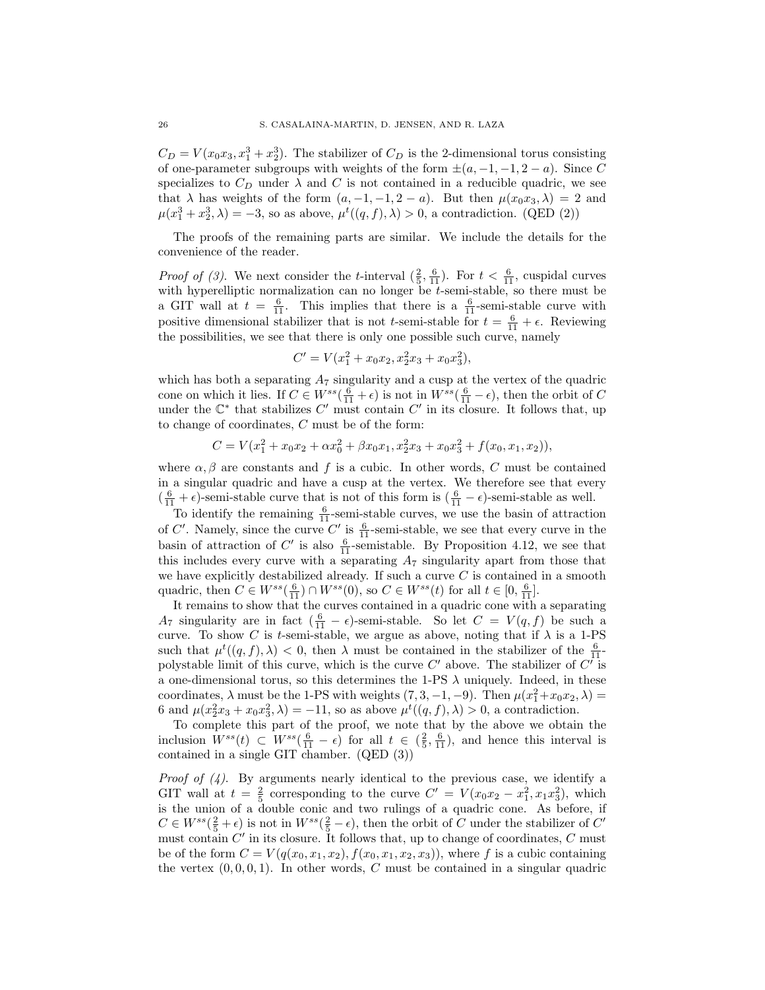$C_D = V(x_0x_3, x_1^3 + x_2^3)$ . The stabilizer of  $C_D$  is the 2-dimensional torus consisting of one-parameter subgroups with weights of the form  $\pm(a, -1, -1, 2 - a)$ . Since C specializes to  $C_D$  under  $\lambda$  and C is not contained in a reducible quadric, we see that  $\lambda$  has weights of the form  $(a, -1, -1, 2 - a)$ . But then  $\mu(x_0, x_3, \lambda) = 2$  and  $\mu(x_1^3 + x_2^3, \lambda) = -3$ , so as above,  $\mu^t((q, f), \lambda) > 0$ , a contradiction. (QED (2))

The proofs of the remaining parts are similar. We include the details for the convenience of the reader.

*Proof of (3)*. We next consider the *t*-interval  $(\frac{2}{5}, \frac{6}{11})$ . For  $t < \frac{6}{11}$ , cuspidal curves with hyperelliptic normalization can no longer be *t*-semi-stable, so there must be a GIT wall at  $t = \frac{6}{11}$ . This implies that there is a  $\frac{6}{11}$ -semi-stable curve with positive dimensional stabilizer that is not *t*-semi-stable for  $t = \frac{6}{11} + \epsilon$ . Reviewing the possibilities, we see that there is only one possible such curve, namely

$$
C' = V(x_1^2 + x_0x_2, x_2^2x_3 + x_0x_3^2),
$$

which has both a separating  $A_7$  singularity and a cusp at the vertex of the quadric cone on which it lies. If  $C \in W^{ss}(\frac{6}{11} + \epsilon)$  is not in  $W^{ss}(\frac{6}{11} - \epsilon)$ , then the orbit of C under the  $\mathbb{C}^*$  that stabilizes  $C'$  must contain  $C'$  in its closure. It follows that, up to change of coordinates, C must be of the form:

$$
C = V(x_1^2 + x_0x_2 + \alpha x_0^2 + \beta x_0x_1, x_2^2x_3 + x_0x_3^2 + f(x_0, x_1, x_2)),
$$

where  $\alpha, \beta$  are constants and f is a cubic. In other words, C must be contained in a singular quadric and have a cusp at the vertex. We therefore see that every  $\left(\frac{6}{11} + \epsilon\right)$ -semi-stable curve that is not of this form is  $\left(\frac{6}{11} - \epsilon\right)$ -semi-stable as well.

To identify the remaining  $\frac{6}{11}$ -semi-stable curves, we use the basin of attraction of C'. Namely, since the curve C' is  $\frac{6}{11}$ -semi-stable, we see that every curve in the basin of attraction of C' is also  $\frac{6}{11}$ -semistable. By Proposition 4.12, we see that this includes every curve with a separating  $A_7$  singularity apart from those that we have explicitly destabilized already. If such a curve  $C$  is contained in a smooth quadric, then  $C \in W^{ss}(\frac{6}{11}) \cap W^{ss}(0)$ , so  $C \in W^{ss}(t)$  for all  $t \in [0, \frac{6}{11}]$ .

It remains to show that the curves contained in a quadric cone with a separating  $A_7$  singularity are in fact  $\left(\frac{6}{11} - \epsilon\right)$ -semi-stable. So let  $C = V(q, f)$  be such a curve. To show C is t-semi-stable, we argue as above, noting that if  $\lambda$  is a 1-PS such that  $\mu^t((q, f), \lambda) < 0$ , then  $\lambda$  must be contained in the stabilizer of the  $\frac{6}{11}$ polystable limit of this curve, which is the curve  $C'$  above. The stabilizer of  $C'$  is a one-dimensional torus, so this determines the 1-PS  $\lambda$  uniquely. Indeed, in these coordinates,  $\lambda$  must be the 1-PS with weights  $(7, 3, -1, -9)$ . Then  $\mu(x_1^2 + x_0x_2, \lambda) =$ 6 and  $\mu(x_2^2x_3 + x_0x_3^2, \lambda) = -11$ , so as above  $\mu^t((q, f), \lambda) > 0$ , a contradiction.

To complete this part of the proof, we note that by the above we obtain the inclusion  $W^{ss}(t) \subset W^{ss}(\frac{6}{11}-\epsilon)$  for all  $t \in (\frac{2}{5}, \frac{6}{11})$ , and hence this interval is contained in a single GIT chamber. (QED (3))

*Proof of*  $(4)$ *.* By arguments nearly identical to the previous case, we identify a GIT wall at  $t = \frac{2}{5}$  corresponding to the curve  $C' = V(x_0x_2 - x_1^2, x_1x_3^2)$ , which is the union of a double conic and two rulings of a quadric cone. As before, if  $C \in W^{ss}(\frac{2}{5} + \epsilon)$  is not in  $W^{ss}(\frac{2}{5} - \epsilon)$ , then the orbit of C under the stabilizer of C' must contain  $C'$  in its closure. It follows that, up to change of coordinates,  $C$  must be of the form  $C = V(q(x_0, x_1, x_2), f(x_0, x_1, x_2, x_3))$ , where f is a cubic containing the vertex  $(0, 0, 0, 1)$ . In other words, C must be contained in a singular quadric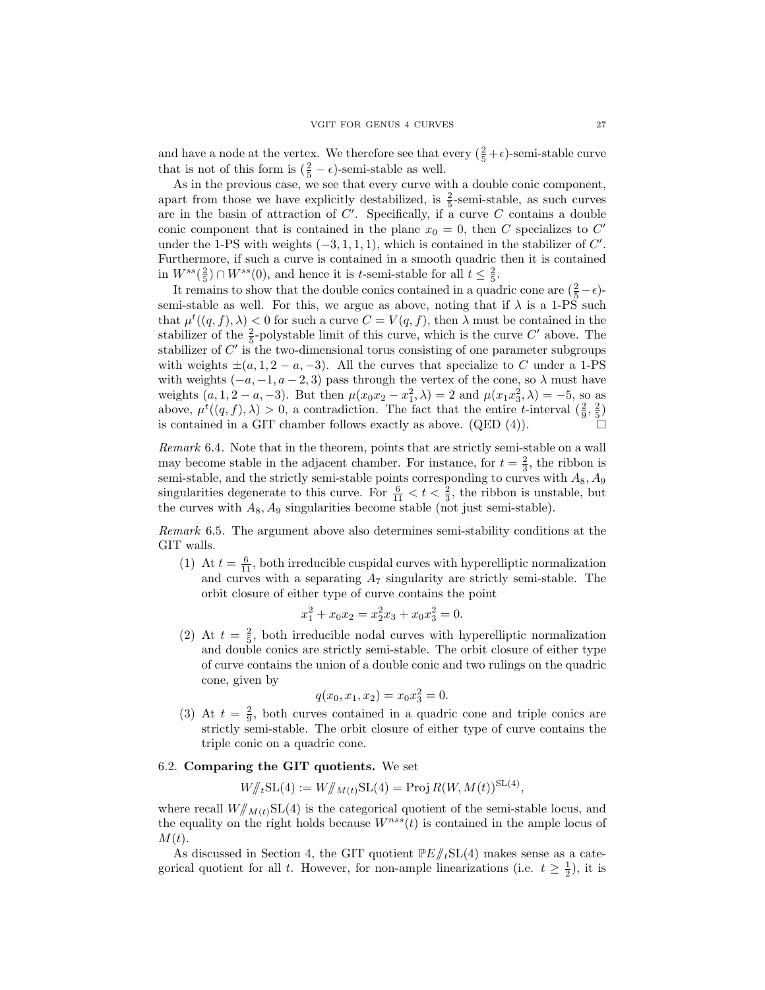and have a node at the vertex. We therefore see that every  $(\frac{2}{5} + \epsilon)$ -semi-stable curve that is not of this form is  $(\frac{2}{5} - \epsilon)$ -semi-stable as well.

As in the previous case, we see that every curve with a double conic component, apart from those we have explicitly destabilized, is  $\frac{2}{5}$ -semi-stable, as such curves are in the basin of attraction of  $C'$ . Specifically, if a curve  $C$  contains a double conic component that is contained in the plane  $x_0 = 0$ , then C specializes to C' under the 1-PS with weights  $(-3, 1, 1, 1)$ , which is contained in the stabilizer of  $C'$ . Furthermore, if such a curve is contained in a smooth quadric then it is contained in  $W^{ss}(\frac{2}{5}) \cap W^{ss}(0)$ , and hence it is t-semi-stable for all  $t \leq \frac{2}{5}$ .

It remains to show that the double conics contained in a quadric cone are  $(\frac{2}{5} - \epsilon)$ semi-stable as well. For this, we argue as above, noting that if  $\lambda$  is a 1-PS such that  $\mu^t((q, f), \lambda) < 0$  for such a curve  $C = V(q, f)$ , then  $\lambda$  must be contained in the stabilizer of the  $\frac{2}{5}$ -polystable limit of this curve, which is the curve C' above. The stabilizer of  $C'$  is the two-dimensional torus consisting of one parameter subgroups with weights  $\pm(a, 1, 2 - a, -3)$ . All the curves that specialize to C under a 1-PS with weights  $(-a, -1, a-2, 3)$  pass through the vertex of the cone, so  $\lambda$  must have weights  $(a, 1, 2 - a, -3)$ . But then  $\mu(x_0x_2 - x_1^2, \lambda) = 2$  and  $\mu(x_1x_3^2, \lambda) = -5$ , so as above,  $\mu^t((q, f), \lambda) > 0$ , a contradiction. The fact that the entire t-interval  $(\frac{2}{9}, \frac{2}{5})$ is contained in a GIT chamber follows exactly as above. (QED (4)).

Remark 6.4. Note that in the theorem, points that are strictly semi-stable on a wall may become stable in the adjacent chamber. For instance, for  $t = \frac{2}{3}$ , the ribbon is semi-stable, and the strictly semi-stable points corresponding to curves with  $A_8$ ,  $A_9$ singularities degenerate to this curve. For  $\frac{6}{11} < t < \frac{2}{3}$ , the ribbon is unstable, but the curves with  $A_8$ ,  $A_9$  singularities become stable (not just semi-stable).

Remark 6.5. The argument above also determines semi-stability conditions at the GIT walls.

(1) At  $t = \frac{6}{11}$ , both irreducible cuspidal curves with hyperelliptic normalization and curves with a separating  $A_7$  singularity are strictly semi-stable. The orbit closure of either type of curve contains the point

$$
x_1^2 + x_0 x_2 = x_2^2 x_3 + x_0 x_3^2 = 0.
$$

(2) At  $t = \frac{2}{5}$ , both irreducible nodal curves with hyperelliptic normalization and double conics are strictly semi-stable. The orbit closure of either type of curve contains the union of a double conic and two rulings on the quadric cone, given by

$$
q(x_0, x_1, x_2) = x_0 x_3^2 = 0.
$$

(3) At  $t = \frac{2}{9}$ , both curves contained in a quadric cone and triple conics are strictly semi-stable. The orbit closure of either type of curve contains the triple conic on a quadric cone.

## 6.2. Comparing the GIT quotients. We set

$$
W/\!\!/_{t} \mathrm{SL}(4) := W/\!\!/_{M(t)} \mathrm{SL}(4) = \mathrm{Proj} R(W, M(t))^{\mathrm{SL}(4)},
$$

where recall  $W/\gamma_{M(t)}SL(4)$  is the categorical quotient of the semi-stable locus, and the equality on the right holds because  $W^{nss}(t)$  is contained in the ample locus of  $M(t).$ 

As discussed in Section 4, the GIT quotient  $\mathbb{P}E/\!\!/_{t}\mathrm{SL}(4)$  makes sense as a categorical quotient for all t. However, for non-ample linearizations (i.e.  $t \geq \frac{1}{2}$ ), it is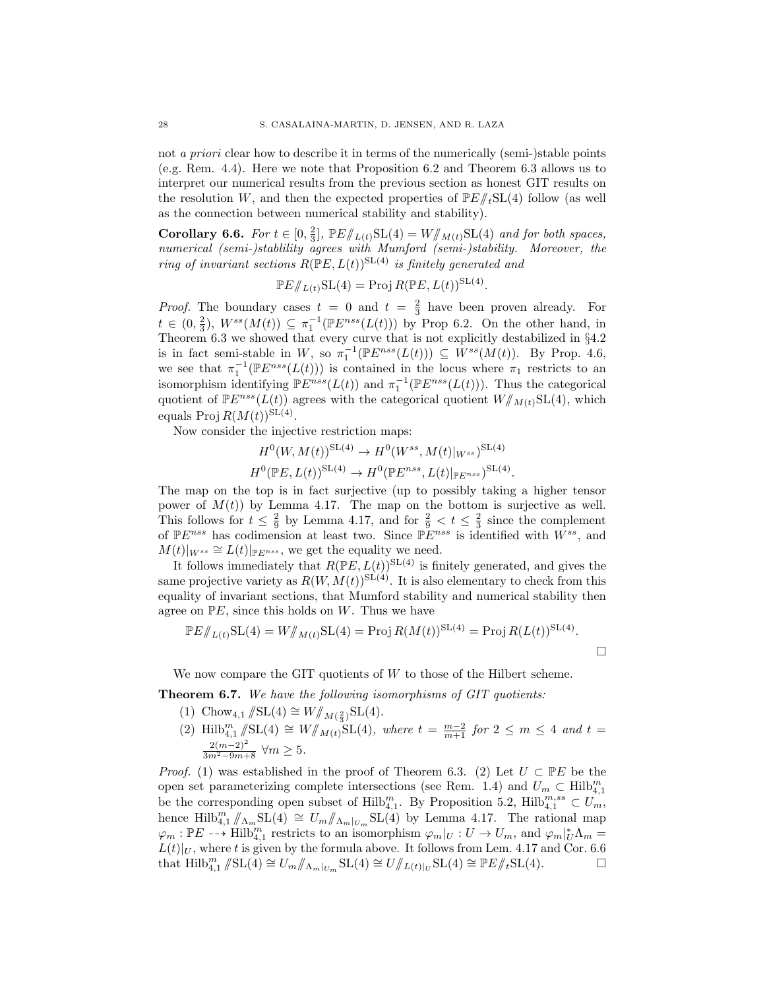not *a priori* clear how to describe it in terms of the numerically (semi-)stable points (e.g. Rem. 4.4). Here we note that Proposition 6.2 and Theorem 6.3 allows us to interpret our numerical results from the previous section as honest GIT results on the resolution W, and then the expected properties of  $\mathbb{P}E/\!\!/_{t} \text{SL}(4)$  follow (as well as the connection between numerical stability and stability).

Corollary 6.6. For  $t \in [0, \frac{2}{3}]$ ,  $\mathbb{P}E/\mathcal{L}(t)$   $SL(4) = W/\mathcal{L}(t)$  and for both spaces, numerical (semi-)stablility agrees with Mumford (semi-)stability. Moreover, the ring of invariant sections  $R(\mathbb{P}E, L(t))$ <sup>SL(4)</sup> is finitely generated and

$$
\mathbb{P}E/\!\!/_{L(t)}\mathrm{SL}(4) = \operatorname{Proj} R(\mathbb{P}E, L(t))^{\mathrm{SL}(4)}.
$$

*Proof.* The boundary cases  $t = 0$  and  $t = \frac{2}{3}$  have been proven already. For  $t \in (0, \frac{2}{3})$ ,  $W^{ss}(M(t)) \subseteq \pi_1^{-1}(\mathbb{P}E^{nss}(L(t)))$  by Prop 6.2. On the other hand, in Theorem 6.3 we showed that every curve that is not explicitly destabilized in §4.2 is in fact semi-stable in W, so  $\pi_1^{-1}(\mathbb{P}E^{nss}(L(t))) \subseteq W^{ss}(M(t))$ . By Prop. 4.6, we see that  $\pi_1^{-1}(\mathbb{P}E^{nss}(L(t)))$  is contained in the locus where  $\pi_1$  restricts to an isomorphism identifying  $\mathbb{P}E^{nss}(L(t))$  and  $\pi_1^{-1}(\mathbb{P}E^{nss}(L(t)))$ . Thus the categorical quotient of  $\mathbb{P}E^{nss}(L(t))$  agrees with the categorical quotient  $W/\!\!/_{M(t)}\mathrm{SL}(4)$ , which equals  $\text{Proj } R(M(t))^{\text{SL}(4)}$ .

Now consider the injective restriction maps:

$$
H^{0}(W, M(t))^{\text{SL}(4)} \to H^{0}(W^{ss}, M(t)|_{W^{ss}})^{\text{SL}(4)}
$$
  

$$
H^{0}(\mathbb{P}E, L(t))^{\text{SL}(4)} \to H^{0}(\mathbb{P}E^{nss}, L(t)|_{\mathbb{P}E^{nss}})^{\text{SL}(4)}.
$$

The map on the top is in fact surjective (up to possibly taking a higher tensor power of  $M(t)$  by Lemma 4.17. The map on the bottom is surjective as well. This follows for  $t \leq \frac{2}{9}$  by Lemma 4.17, and for  $\frac{2}{9} < t \leq \frac{2}{3}$  since the complement of  $\mathbb{P}E^{nss}$  has codimension at least two. Since  $\mathbb{P}E^{nss}$  is identified with  $W^{ss}$ , and  $M(t)|_{W^{ss}} \cong L(t)|_{\mathbb{P}E^{nss}}$ , we get the equality we need.

It follows immediately that  $R(\mathbb{P}E, L(t))^{\text{SL}(4)}$  is finitely generated, and gives the same projective variety as  $R(W, M(t))$ SL(4). It is also elementary to check from this equality of invariant sections, that Mumford stability and numerical stability then agree on  $\mathbb{P}E$ , since this holds on W. Thus we have

$$
\mathbb{P}E/\!\!/_{L(t)}\mathrm{SL}(4) = W/\!\!/_{M(t)}\mathrm{SL}(4) = \mathrm{Proj}\, R(M(t))^{\mathrm{SL}(4)} = \mathrm{Proj}\, R(L(t))^{\mathrm{SL}(4)}.
$$

We now compare the GIT quotients of  $W$  to those of the Hilbert scheme.

Theorem 6.7. We have the following isomorphisms of GIT quotients:

- (1) Chow<sub>4,1</sub>  $/\!\!/$ SL(4) ≅  $W/\!\!/_{M(\frac{2}{3})}$ SL(4).
- (2) Hilb<sup>m</sup><sub>4,1</sub>  $\sqrt{\text{SL}(4)} \cong W/\!\!/_{M(t)}\text{SL}(4)$ , where  $t = \frac{m-2}{m+1}$  for  $2 \le m \le 4$  and  $t =$  $\frac{2(m-2)^2}{3m^2-9m+8}$  ∀ $m \ge 5$ .

*Proof.* (1) was established in the proof of Theorem 6.3. (2) Let  $U \subset \mathbb{P}E$  be the open set parameterizing complete intersections (see Rem. 1.4) and  $U_m \subset \text{Hilb}_{4,1}^m$ be the corresponding open subset of  $\text{Hilb}_{4,1}^m$ . By Proposition 5.2,  $\text{Hilb}_{4,1}^{m,ss} \subset U_m$ , hence Hilb $_{4,1}^{m}$  //<sub>Λm</sub>SL(4)  $\cong U_m$ //<sub>Λm</sub>|<sub>Um</sub>SL(4) by Lemma 4.17. The rational map  $\varphi_m : \mathbb{P}E \dashrightarrow \text{Hilb}_{4,1}^m$  restricts to an isomorphism  $\varphi_m|_U : U \to U_m$ , and  $\varphi_m|_U^*\Lambda_m =$  $L(t)|_U$ , where t is given by the formula above. It follows from Lem. 4.17 and Cor. 6.6 that  $\text{Hilb}_{4,1}^m/\!\!/ \text{SL}(4) \cong U_m/\!\!/_{\Lambda_m|_{U_m}} \text{SL}(4) \cong U/\!\!/_{L(t)|_U} \text{SL}(4) \cong \mathbb{P} E/\!\!/_{t} \text{SL}(4).$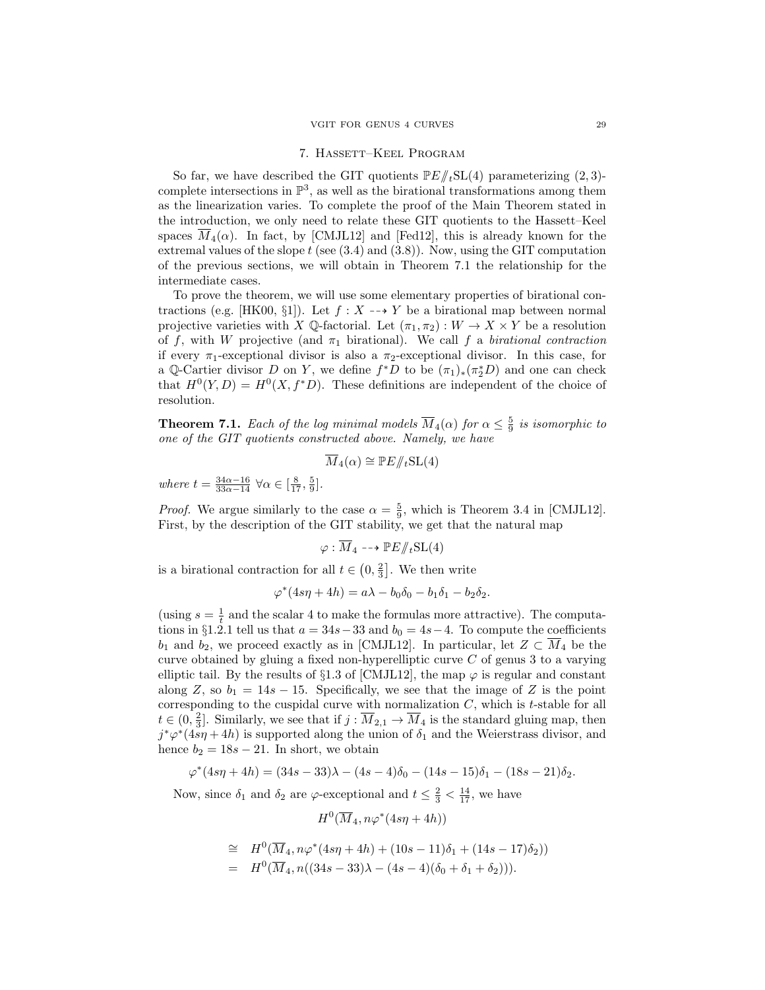### 7. Hassett–Keel Program

So far, we have described the GIT quotients  $\mathbb{P}E/\!\!/_{t}SL(4)$  parameterizing  $(2, 3)$ complete intersections in  $\mathbb{P}^3$ , as well as the birational transformations among them as the linearization varies. To complete the proof of the Main Theorem stated in the introduction, we only need to relate these GIT quotients to the Hassett–Keel spaces  $\overline{M}_4(\alpha)$ . In fact, by [CMJL12] and [Fed12], this is already known for the extremal values of the slope  $t$  (see  $(3.4)$  and  $(3.8)$ ). Now, using the GIT computation of the previous sections, we will obtain in Theorem 7.1 the relationship for the intermediate cases.

To prove the theorem, we will use some elementary properties of birational contractions (e.g. [HK00, §1]). Let  $f : X \dashrightarrow Y$  be a birational map between normal projective varieties with X Q-factorial. Let  $(\pi_1, \pi_2): W \to X \times Y$  be a resolution of f, with W projective (and  $\pi_1$  birational). We call f a birational contraction if every  $\pi_1$ -exceptional divisor is also a  $\pi_2$ -exceptional divisor. In this case, for a Q-Cartier divisor D on Y, we define  $f^*D$  to be  $(\pi_1)_*(\pi_2^*D)$  and one can check that  $H^0(Y, D) = H^0(X, f^*D)$ . These definitions are independent of the choice of resolution.

**Theorem 7.1.** Each of the log minimal models  $\overline{M}_4(\alpha)$  for  $\alpha \leq \frac{5}{9}$  is isomorphic to one of the GIT quotients constructed above. Namely, we have

$$
\overline{M}_4(\alpha) \cong \mathbb{P}E/\!\!/_{t} \mathrm{SL}(4)
$$

where  $t = \frac{34\alpha - 16}{33\alpha - 14} \,\forall \alpha \in \left[\frac{8}{17}, \frac{5}{9}\right]$ .

*Proof.* We argue similarly to the case  $\alpha = \frac{5}{9}$ , which is Theorem 3.4 in [CMJL12]. First, by the description of the GIT stability, we get that the natural map

$$
\varphi : \overline{M}_4 \dashrightarrow \mathbb{P}E/\!\!/_{t}\mathrm{SL}(4)
$$

is a birational contraction for all  $t \in (0, \frac{2}{3}]$ . We then write

$$
\varphi^*(4s\eta + 4h) = a\lambda - b_0\delta_0 - b_1\delta_1 - b_2\delta_2.
$$

(using  $s = \frac{1}{t}$  and the scalar 4 to make the formulas more attractive). The computations in §1.2.1 tell us that  $a = 34s - 33$  and  $b<sub>0</sub> = 4s - 4$ . To compute the coefficients  $b_1$  and  $b_2$ , we proceed exactly as in [CMJL12]. In particular, let  $Z \subset \overline{M}_4$  be the curve obtained by gluing a fixed non-hyperelliptic curve  $C$  of genus 3 to a varying elliptic tail. By the results of §1.3 of [CMJL12], the map  $\varphi$  is regular and constant along Z, so  $b_1 = 14s - 15$ . Specifically, we see that the image of Z is the point corresponding to the cuspidal curve with normalization  $C$ , which is  $t$ -stable for all  $t \in (0, \frac{2}{3}]$ . Similarly, we see that if  $j : \overline{M}_{2,1} \to \overline{M}_4$  is the standard gluing map, then  $j^*\varphi^*(4s\eta + 4h)$  is supported along the union of  $\delta_1$  and the Weierstrass divisor, and hence  $b_2 = 18s - 21$ . In short, we obtain

$$
\varphi^*(4s\eta + 4h) = (34s - 33)\lambda - (4s - 4)\delta_0 - (14s - 15)\delta_1 - (18s - 21)\delta_2.
$$

Now, since  $\delta_1$  and  $\delta_2$  are  $\varphi$ -exceptional and  $t \leq \frac{2}{3} < \frac{14}{17}$ , we have

$$
H^0(\overline{M}_4, n\varphi^*(4s\eta + 4h))
$$

$$
\cong H^0(\overline{M}_4, n\varphi^*(4s\eta + 4h) + (10s - 11)\delta_1 + (14s - 17)\delta_2))
$$
  
=  $H^0(\overline{M}_4, n((34s - 33)\lambda - (4s - 4)(\delta_0 + \delta_1 + \delta_2))).$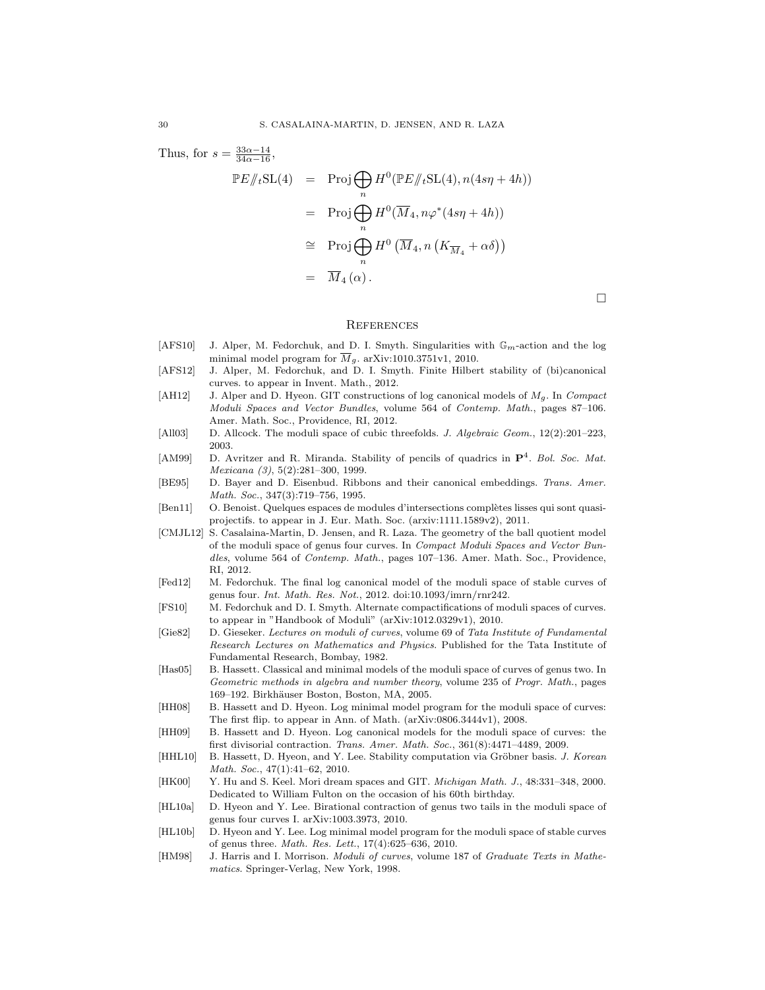Thus, for  $s = \frac{33\alpha - 14}{34\alpha - 16}$ ,  $\mathbb{P}E/\!\!/_{t}\mathrm{SL}(4) = \mathrm{Proj}(\bigoplus)$ n  $H^0(\mathbb{P}E/\!\!/_{t}\mathrm{SL}(4), n(4s\eta+4h))$  $= \text{Proj}(\mathcal{A})$ n  $H^0(\overline{M}_4, n\varphi^*(4s\eta + 4h))$ ∼= ProjM n  $H^0\left(\overline{M}_4, n\left(K_{\overline{M}_4} + \alpha \delta\right)\right)$  $\overline{M}_{4}(\alpha)$ .

#### **REFERENCES**

- [AFS10] J. Alper, M. Fedorchuk, and D. I. Smyth. Singularities with  $\mathbb{G}_m$ -action and the log minimal model program for  $\overline{M}_g$ . arXiv:1010.3751v1, 2010.
- [AFS12] J. Alper, M. Fedorchuk, and D. I. Smyth. Finite Hilbert stability of (bi)canonical curves. to appear in Invent. Math., 2012.
- [AH12] J. Alper and D. Hyeon. GIT constructions of log canonical models of  $M_q$ . In Compact Moduli Spaces and Vector Bundles, volume 564 of Contemp. Math., pages 87–106. Amer. Math. Soc., Providence, RI, 2012.
- [All03] D. Allcock. The moduli space of cubic threefolds. J. Algebraic Geom., 12(2):201–223, 2003.
- [AM99] D. Avritzer and R. Miranda. Stability of pencils of quadrics in  $\mathbf{P}^4$ . Bol. Soc. Mat. Mexicana (3), 5(2):281–300, 1999.
- [BE95] D. Bayer and D. Eisenbud. Ribbons and their canonical embeddings. Trans. Amer. Math. Soc., 347(3):719–756, 1995.
- [Ben11] O. Benoist. Quelques espaces de modules d'intersections complètes lisses qui sont quasiprojectifs. to appear in J. Eur. Math. Soc. (arxiv:1111.1589v2), 2011.
- [CMJL12] S. Casalaina-Martin, D. Jensen, and R. Laza. The geometry of the ball quotient model of the moduli space of genus four curves. In Compact Moduli Spaces and Vector Bundles, volume 564 of Contemp. Math., pages 107–136. Amer. Math. Soc., Providence, RI, 2012.
- [Fed12] M. Fedorchuk. The final log canonical model of the moduli space of stable curves of genus four. Int. Math. Res. Not., 2012. doi:10.1093/imrn/rnr242.
- [FS10] M. Fedorchuk and D. I. Smyth. Alternate compactifications of moduli spaces of curves. to appear in "Handbook of Moduli" (arXiv:1012.0329v1), 2010.
- [Gie82] D. Gieseker. Lectures on moduli of curves, volume 69 of Tata Institute of Fundamental Research Lectures on Mathematics and Physics. Published for the Tata Institute of Fundamental Research, Bombay, 1982.
- [Has05] B. Hassett. Classical and minimal models of the moduli space of curves of genus two. In Geometric methods in algebra and number theory, volume 235 of Progr. Math., pages 169–192. Birkhäuser Boston, Boston, MA, 2005.
- [HH08] B. Hassett and D. Hyeon. Log minimal model program for the moduli space of curves: The first flip. to appear in Ann. of Math. (arXiv:0806.3444v1), 2008.
- [HH09] B. Hassett and D. Hyeon. Log canonical models for the moduli space of curves: the first divisorial contraction. Trans. Amer. Math. Soc., 361(8):4471–4489, 2009.
- [HHL10] B. Hassett, D. Hyeon, and Y. Lee. Stability computation via Gröbner basis. J. Korean Math. Soc., 47(1):41–62, 2010.
- [HK00] Y. Hu and S. Keel. Mori dream spaces and GIT. *Michigan Math. J.*, 48:331–348, 2000. Dedicated to William Fulton on the occasion of his 60th birthday.
- [HL10a] D. Hyeon and Y. Lee. Birational contraction of genus two tails in the moduli space of genus four curves I. arXiv:1003.3973, 2010.
- [HL10b] D. Hyeon and Y. Lee. Log minimal model program for the moduli space of stable curves of genus three. Math. Res. Lett., 17(4):625–636, 2010.
- [HM98] J. Harris and I. Morrison. *Moduli of curves*, volume 187 of *Graduate Texts in Mathe*matics. Springer-Verlag, New York, 1998.

 $\Box$